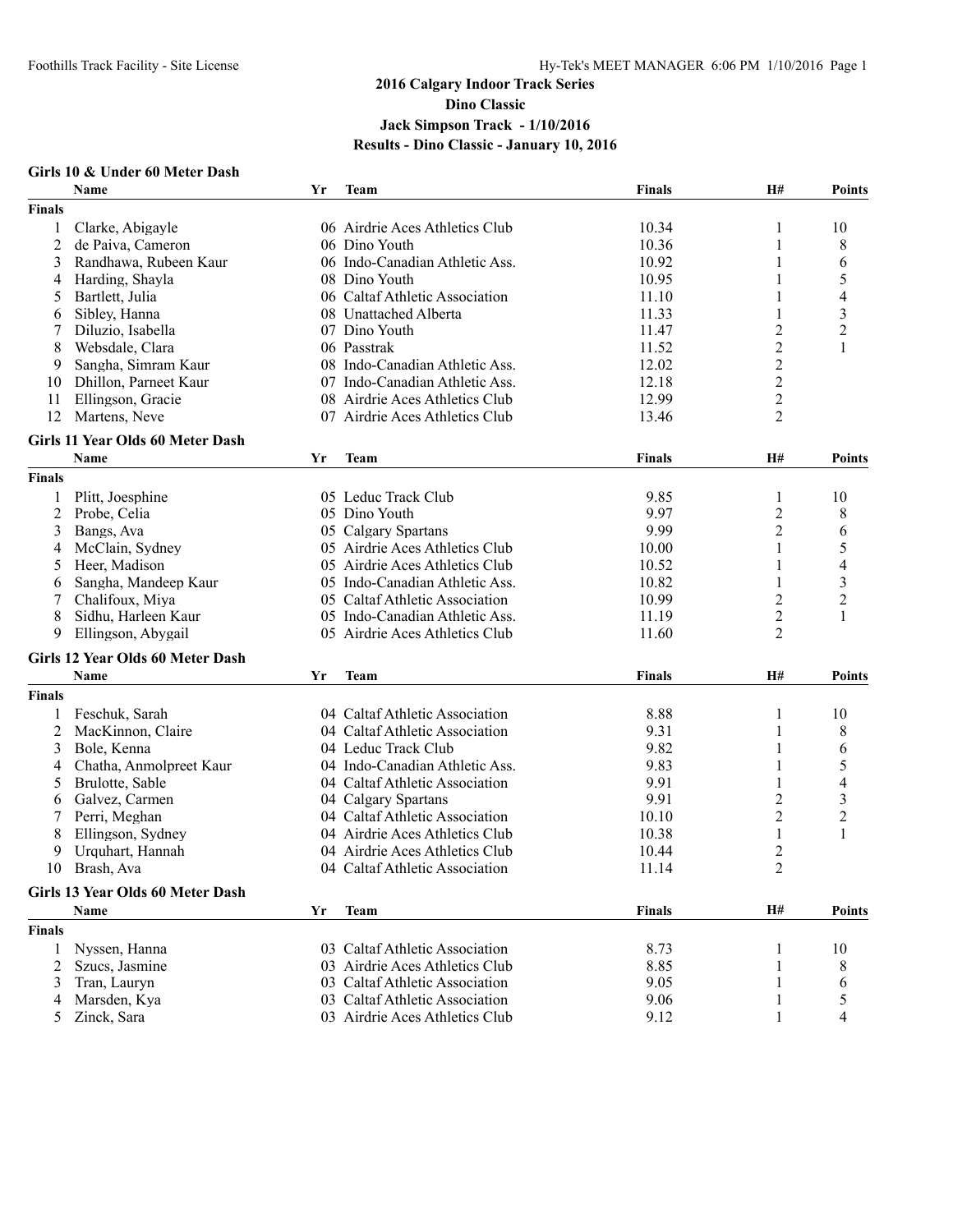#### **Girls 10 & Under 60 Meter Dash**

|                | Name                                    | Yr | <b>Team</b>                    | <b>Finals</b> | H#                      | <b>Points</b>            |
|----------------|-----------------------------------------|----|--------------------------------|---------------|-------------------------|--------------------------|
| <b>Finals</b>  |                                         |    |                                |               |                         |                          |
| 1              | Clarke, Abigayle                        |    | 06 Airdrie Aces Athletics Club | 10.34         | 1                       | 10                       |
| $\overline{2}$ | de Paiva, Cameron                       |    | 06 Dino Youth                  | 10.36         | 1                       | 8                        |
| 3              | Randhawa, Rubeen Kaur                   |    | 06 Indo-Canadian Athletic Ass. | 10.92         | 1                       | 6                        |
| 4              | Harding, Shayla                         |    | 08 Dino Youth                  | 10.95         |                         | 5                        |
| 5              | Bartlett, Julia                         |    | 06 Caltaf Athletic Association | 11.10         | 1                       | 4                        |
| 6              | Sibley, Hanna                           |    | 08 Unattached Alberta          | 11.33         | 1                       | 3                        |
|                | Diluzio, Isabella                       |    | 07 Dino Youth                  | 11.47         | $\overline{c}$          | $\overline{c}$           |
| 8              | Websdale, Clara                         |    | 06 Passtrak                    | 11.52         | $\boldsymbol{2}$        | 1                        |
| 9              | Sangha, Simram Kaur                     |    | 08 Indo-Canadian Athletic Ass. | 12.02         | $\overline{c}$          |                          |
| 10             | Dhillon, Parneet Kaur                   |    | 07 Indo-Canadian Athletic Ass. | 12.18         | $\boldsymbol{2}$        |                          |
| 11             | Ellingson, Gracie                       |    | 08 Airdrie Aces Athletics Club | 12.99         | $\overline{c}$          |                          |
| 12             | Martens, Neve                           |    | 07 Airdrie Aces Athletics Club | 13.46         | $\overline{2}$          |                          |
|                |                                         |    |                                |               |                         |                          |
|                | Girls 11 Year Olds 60 Meter Dash        |    |                                |               |                         |                          |
|                | Name                                    | Yr | Team                           | <b>Finals</b> | H#                      | <b>Points</b>            |
| <b>Finals</b>  |                                         |    |                                |               |                         |                          |
| 1              | Plitt, Joesphine                        |    | 05 Leduc Track Club            | 9.85          | 1                       | 10                       |
| $\overline{c}$ | Probe, Celia                            |    | 05 Dino Youth                  | 9.97          | $\overline{2}$          | 8                        |
| 3              | Bangs, Ava                              |    | 05 Calgary Spartans            | 9.99          | $\overline{c}$          | 6                        |
| 4              | McClain, Sydney                         |    | 05 Airdrie Aces Athletics Club | 10.00         | 1                       | 5                        |
| 5              | Heer, Madison                           |    | 05 Airdrie Aces Athletics Club | 10.52         | 1                       | $\overline{\mathcal{L}}$ |
| 6              | Sangha, Mandeep Kaur                    |    | 05 Indo-Canadian Athletic Ass. | 10.82         | 1                       | 3                        |
| 7              | Chalifoux, Miya                         |    | 05 Caltaf Athletic Association | 10.99         | $\overline{c}$          | $\overline{c}$           |
| 8              | Sidhu, Harleen Kaur                     |    | 05 Indo-Canadian Athletic Ass. | 11.19         | $\overline{c}$          | 1                        |
| 9              | Ellingson, Abygail                      |    | 05 Airdrie Aces Athletics Club | 11.60         | 2                       |                          |
|                | Girls 12 Year Olds 60 Meter Dash        |    |                                |               |                         |                          |
|                | Name                                    | Yr | <b>Team</b>                    | <b>Finals</b> | <b>H#</b>               | <b>Points</b>            |
| <b>Finals</b>  |                                         |    |                                |               |                         |                          |
| 1              | Feschuk, Sarah                          |    | 04 Caltaf Athletic Association | 8.88          | 1                       | 10                       |
| 2              | MacKinnon, Claire                       |    | 04 Caltaf Athletic Association | 9.31          | 1                       | 8                        |
| 3              | Bole, Kenna                             |    | 04 Leduc Track Club            | 9.82          | 1                       | 6                        |
| 4              | Chatha, Anmolpreet Kaur                 |    | 04 Indo-Canadian Athletic Ass. | 9.83          |                         | 5                        |
| 5              | Brulotte, Sable                         |    | 04 Caltaf Athletic Association | 9.91          | 1                       | 4                        |
| 6              | Galvez, Carmen                          |    | 04 Calgary Spartans            | 9.91          | $\overline{c}$          | 3                        |
| 7              | Perri, Meghan                           |    | 04 Caltaf Athletic Association | 10.10         | $\overline{2}$          | $\overline{c}$           |
| 8              | Ellingson, Sydney                       |    | 04 Airdrie Aces Athletics Club | 10.38         | $\mathbf{1}$            | $\mathbf{1}$             |
| 9              | Urquhart, Hannah                        |    | 04 Airdrie Aces Athletics Club | 10.44         | $\overline{\mathbf{c}}$ |                          |
| 10             | Brash, Ava                              |    | 04 Caltaf Athletic Association | 11.14         | $\overline{2}$          |                          |
|                |                                         |    |                                |               |                         |                          |
|                | <b>Girls 13 Year Olds 60 Meter Dash</b> |    |                                |               |                         |                          |
|                | <b>Name</b>                             | Yr | <b>Team</b>                    | <b>Finals</b> | H#                      | <b>Points</b>            |
| <b>Finals</b>  |                                         |    |                                |               |                         |                          |
|                | Nyssen, Hanna                           |    | 03 Caltaf Athletic Association | 8.73          | 1                       | 10                       |
| 2              | Szucs, Jasmine                          |    | 03 Airdrie Aces Athletics Club | 8.85          |                         | 8                        |
| 3              | Tran, Lauryn                            |    | 03 Caltaf Athletic Association | 9.05          | 1                       | 6                        |
| 4              | Marsden, Kya                            |    | 03 Caltaf Athletic Association | 9.06          | 1                       | 5                        |
| 5              | Zinck, Sara                             |    | 03 Airdrie Aces Athletics Club | 9.12          |                         | 4                        |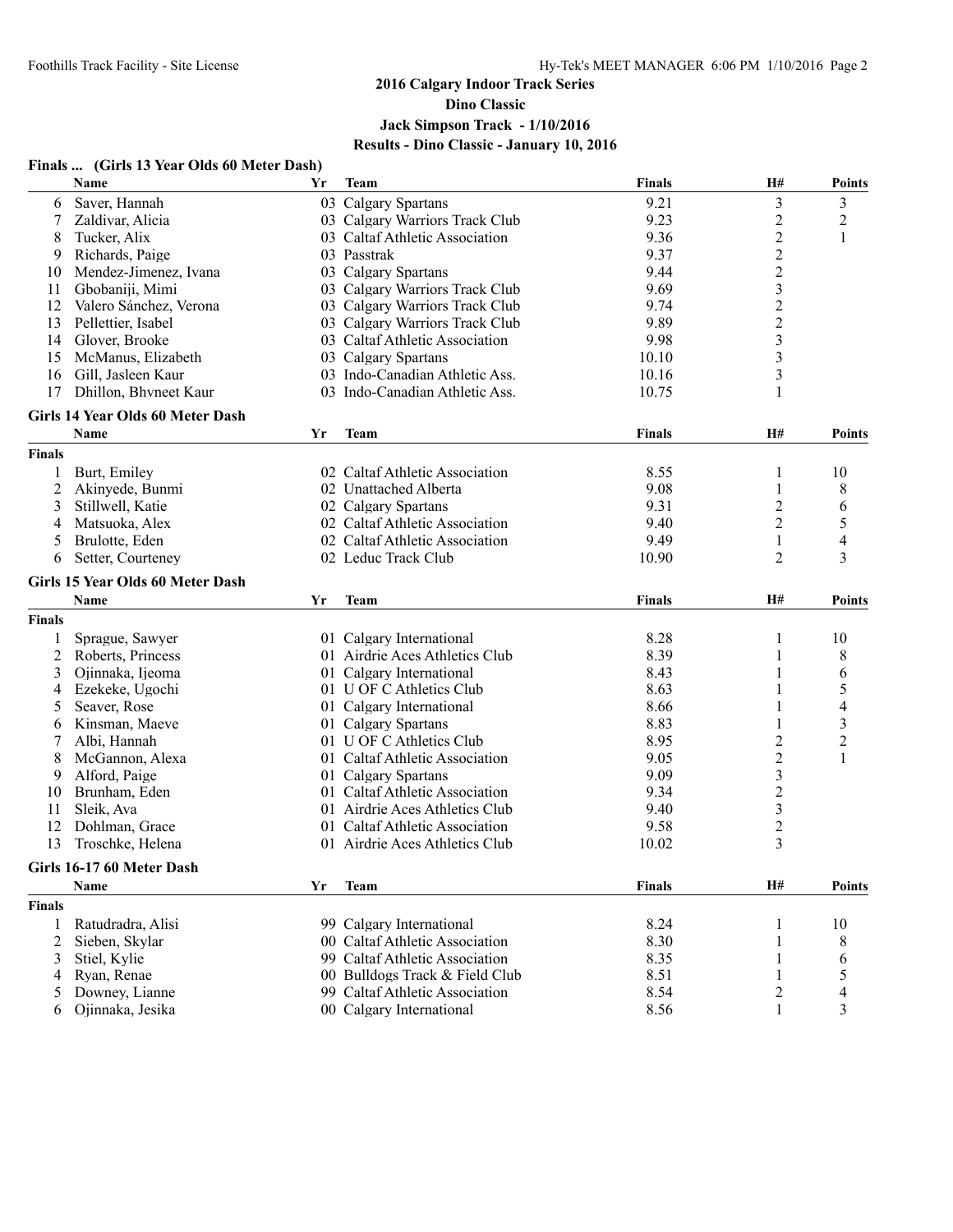#### **Finals ... (Girls 13 Year Olds 60 Meter Dash)**

|                | Name                             | Yr | Team                           | <b>Finals</b> | H#                      | <b>Points</b>           |
|----------------|----------------------------------|----|--------------------------------|---------------|-------------------------|-------------------------|
| 6              | Saver, Hannah                    |    | 03 Calgary Spartans            | 9.21          | $\mathfrak{Z}$          | $\overline{\mathbf{3}}$ |
| 7              | Zaldivar, Alicia                 |    | 03 Calgary Warriors Track Club | 9.23          | $\overline{c}$          | $\overline{c}$          |
| 8              | Tucker, Alix                     |    | 03 Caltaf Athletic Association | 9.36          | $\overline{2}$          | 1                       |
| 9              | Richards, Paige                  |    | 03 Passtrak                    | 9.37          | $\boldsymbol{2}$        |                         |
| 10             | Mendez-Jimenez, Ivana            |    | 03 Calgary Spartans            | 9.44          | $\boldsymbol{2}$        |                         |
| 11             | Gbobaniji, Mimi                  |    | 03 Calgary Warriors Track Club | 9.69          | $\overline{\mathbf{3}}$ |                         |
| 12             | Valero Sánchez, Verona           |    | 03 Calgary Warriors Track Club | 9.74          | $\overline{\mathbf{c}}$ |                         |
| 13             | Pellettier, Isabel               |    | 03 Calgary Warriors Track Club | 9.89          |                         |                         |
| 14             | Glover, Brooke                   |    | 03 Caltaf Athletic Association | 9.98          | $\frac{2}{3}$           |                         |
| 15             | McManus, Elizabeth               |    | 03 Calgary Spartans            | 10.10         | $\overline{\mathbf{3}}$ |                         |
| 16             | Gill, Jasleen Kaur               |    | 03 Indo-Canadian Athletic Ass. | 10.16         | $\overline{\mathbf{3}}$ |                         |
| 17             | Dhillon, Bhvneet Kaur            |    | 03 Indo-Canadian Athletic Ass. | 10.75         | 1                       |                         |
|                | Girls 14 Year Olds 60 Meter Dash |    |                                |               |                         |                         |
|                | Name                             | Yr | <b>Team</b>                    | <b>Finals</b> | H#                      | <b>Points</b>           |
| <b>Finals</b>  |                                  |    |                                |               |                         |                         |
|                | Burt, Emiley                     |    | 02 Caltaf Athletic Association | 8.55          | 1                       | 10                      |
| $\overline{2}$ | Akinyede, Bunmi                  |    | 02 Unattached Alberta          | 9.08          | 1                       | 8                       |
| 3              | Stillwell, Katie                 |    | 02 Calgary Spartans            | 9.31          | 2                       | 6                       |
| 4              | Matsuoka, Alex                   |    | 02 Caltaf Athletic Association | 9.40          | $\overline{2}$          | 5                       |
| 5              | Brulotte, Eden                   |    | 02 Caltaf Athletic Association | 9.49          | 1                       | 4                       |
| 6              | Setter, Courteney                |    | 02 Leduc Track Club            | 10.90         | 2                       | 3                       |
|                | Girls 15 Year Olds 60 Meter Dash |    |                                |               |                         |                         |
|                | Name                             | Yr | Team                           | <b>Finals</b> | H#                      | <b>Points</b>           |
| <b>Finals</b>  |                                  |    |                                |               |                         |                         |
| 1              | Sprague, Sawyer                  |    | 01 Calgary International       | 8.28          | 1                       | 10                      |
| $\overline{2}$ | Roberts, Princess                |    | 01 Airdrie Aces Athletics Club | 8.39          | 1                       | 8                       |
| 3              | Ojinnaka, Ijeoma                 |    | 01 Calgary International       | 8.43          | 1                       | 6                       |
| 4              | Ezekeke, Ugochi                  |    | 01 U OF C Athletics Club       | 8.63          | 1                       | 5                       |
| 5              | Seaver, Rose                     |    | 01 Calgary International       | 8.66          | 1                       | 4                       |
| 6              | Kinsman, Maeve                   |    | 01 Calgary Spartans            | 8.83          |                         | 3                       |
| 7              | Albi, Hannah                     |    | 01 U OF C Athletics Club       | 8.95          | $\overline{c}$          | $\overline{\mathbf{c}}$ |
| 8              | McGannon, Alexa                  |    | 01 Caltaf Athletic Association | 9.05          | $\overline{c}$          | 1                       |
| 9              | Alford, Paige                    |    | 01 Calgary Spartans            | 9.09          | $\overline{\mathbf{3}}$ |                         |
| 10             | Brunham, Eden                    |    | 01 Caltaf Athletic Association | 9.34          | $\overline{c}$          |                         |
| 11             | Sleik, Ava                       |    | 01 Airdrie Aces Athletics Club | 9.40          | $\mathfrak{Z}$          |                         |
| 12             | Dohlman, Grace                   |    | 01 Caltaf Athletic Association | 9.58          | $\overline{c}$          |                         |
| 13             | Troschke, Helena                 |    | 01 Airdrie Aces Athletics Club | 10.02         | $\overline{3}$          |                         |
|                | Girls 16-17 60 Meter Dash        |    |                                |               |                         |                         |
|                | Name                             | Yr | <b>Team</b>                    | <b>Finals</b> | H#                      | Points                  |
| <b>Finals</b>  |                                  |    |                                |               |                         |                         |
| 1              | Ratudradra, Alisi                |    | 99 Calgary International       | 8.24          | 1                       | 10                      |
| 2              | Sieben, Skylar                   |    | 00 Caltaf Athletic Association | 8.30          | 1                       | 8                       |
| 3              | Stiel, Kylie                     |    | 99 Caltaf Athletic Association | 8.35          | 1                       | 6                       |
| 4              | Ryan, Renae                      |    | 00 Bulldogs Track & Field Club | 8.51          | 1                       | 5                       |
| 5              | Downey, Lianne                   |    | 99 Caltaf Athletic Association | 8.54          | 2                       | 4                       |
| 6              | Ojinnaka, Jesika                 |    | 00 Calgary International       | 8.56          | 1                       | 3                       |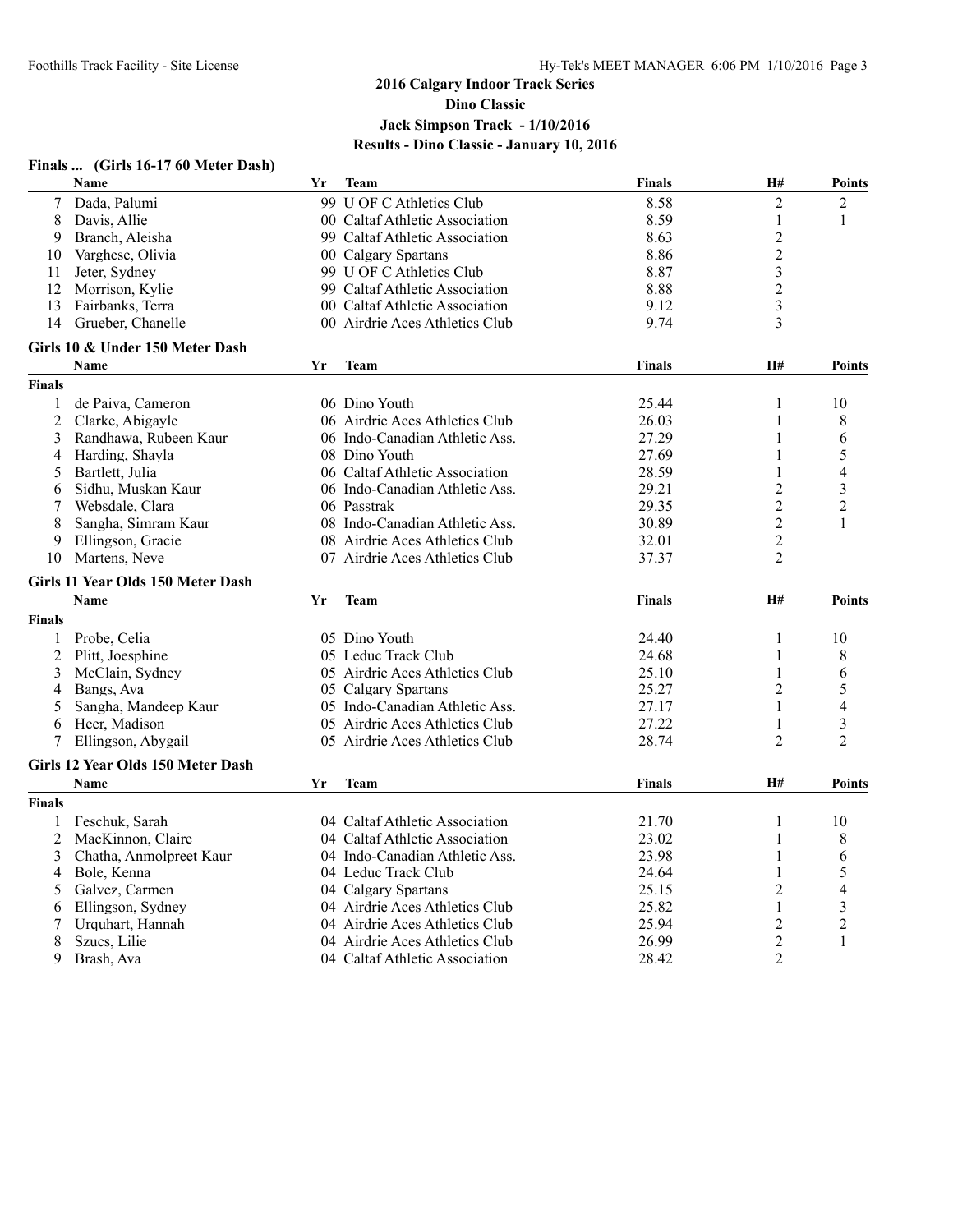#### **Finals ... (Girls 16-17 60 Meter Dash) Name Yr Team Finals H# Points** 7 Dada, Palumi 99 U OF C Athletics Club 8.58 2 2 8 Davis, Allie 1 00 Caltaf Athletic Association 8.59 1 1 1 9 Branch, Aleisha 99 Caltaf Athletic Association 8.63 2 10 Varghese, Olivia 2 00 Calgary Spartans 8.86 2 11 Jeter, Sydney 12 Morrison Kylie 12 Morrison Kylie 12 Morrison Kylie 12 Morrison Kylie 12 Morrison Kylie 12 Morrison Kylie 12 Morrison Kylie 12 Morrison Kylie 12 Morrison Kylie 12 Morrison Kylie 12 Morrison Kylie 12 Morr 12 Morrison, Kylie 99 Caltaf Athletic Association 8.88 2 13 Fairbanks, Terra 19 00 Caltaf Athletic Association 14 Grueber. Chanelle 19 00 Airdrie Aces Athletics Club 19.74 3 14 Grueber, Chanelle 00 Airdrie Aces Athletics Club 9.74 3 **Girls 10 & Under 150 Meter Dash Name Yr Team Finals H# Points Finals** 1 de Paiva, Cameron 1 06 Dino Youth 25.44 1 10<br>2 Clarke, Abigayle 1 06 Airdrie Aces Athletics Club 26.03 1 8 2 Clarke, Abigayle 26.03 1 8 06 Airdrie Aces Athletics Club 26.03 3 Randhawa, Rubeen Kaur 06 Indo-Canadian Athletic Ass. 27.29 1 6 4 Harding, Shayla 1 08 Dino Youth 27.69 1 5 5 Bartlett, Julia 06 Caltaf Athletic Association 28.59 1 4 6 Sidhu, Muskan Kaur 06 Indo-Canadian Athletic Ass. 29.21 2 3 7 Websdale, Clara 06 Passtrak 29.35 2 2 8 Sangha, Simram Kaur 08 Indo-Canadian Athletic Ass. 30.89 2 1 9 Ellingson, Gracie 1988 Airdrie Aces Athletics Club 32.01 2<br>
09 Airdrie Aces Athletics Club 37.37 37 10 Martens, Neve 07 Airdrie Aces Athletics Club 37.37 2 **Girls 11 Year Olds 150 Meter Dash Name Yr Team Finals H# Points Finals** 1 Probe, Celia 1 05 Dino Youth 24.40 1 10 2 Plitt, Joesphine 05 Leduc Track Club 24.68 1 8 3 McClain, Sydney 05 Airdrie Aces Athletics Club 25.10 1 6 4 Bangs, Ava 05 Calgary Spartans 25.27 2 5 5 Sangha, Mandeep Kaur 05 Indo-Canadian Athletic Ass. 27.17 1 4 6 Heer, Madison 05 Airdrie Aces Athletics Club 27.22 1 3 7 Ellingson, Abygail 05 Airdrie Aces Athletics Club 28.74 2 2 **Girls 12 Year Olds 150 Meter Dash Name Yr Team Finals H# Points Finals** 1 Feschuk, Sarah 10 04 Caltaf Athletic Association 21.70 1 10 2 MacKinnon, Claire 04 Caltaf Athletic Association 23.02 1 8 3 Chatha, Anmolpreet Kaur 1 04 Indo-Canadian Athletic Ass. 23.98 1 6<br>4 Bole, Kenna 1 6 1 6 1 6 1 6 1 6 24.64 1 5 4 Bole, Kenna 04 Leduc Track Club 24.64 1 5 5 Galvez, Carmen 04 Calgary Spartans 25.15 6 Ellingson, Sydney 04 Airdrie Aces Athletics Club 25.82 1 3 7 Urquhart, Hannah 04 Airdrie Aces Athletics Club 25.94 2 2 8 Szucs, Lilie 04 Airdrie Aces Athletics Club 9 Brash, Ava 04 Caltaf Athletic Association 28.42 2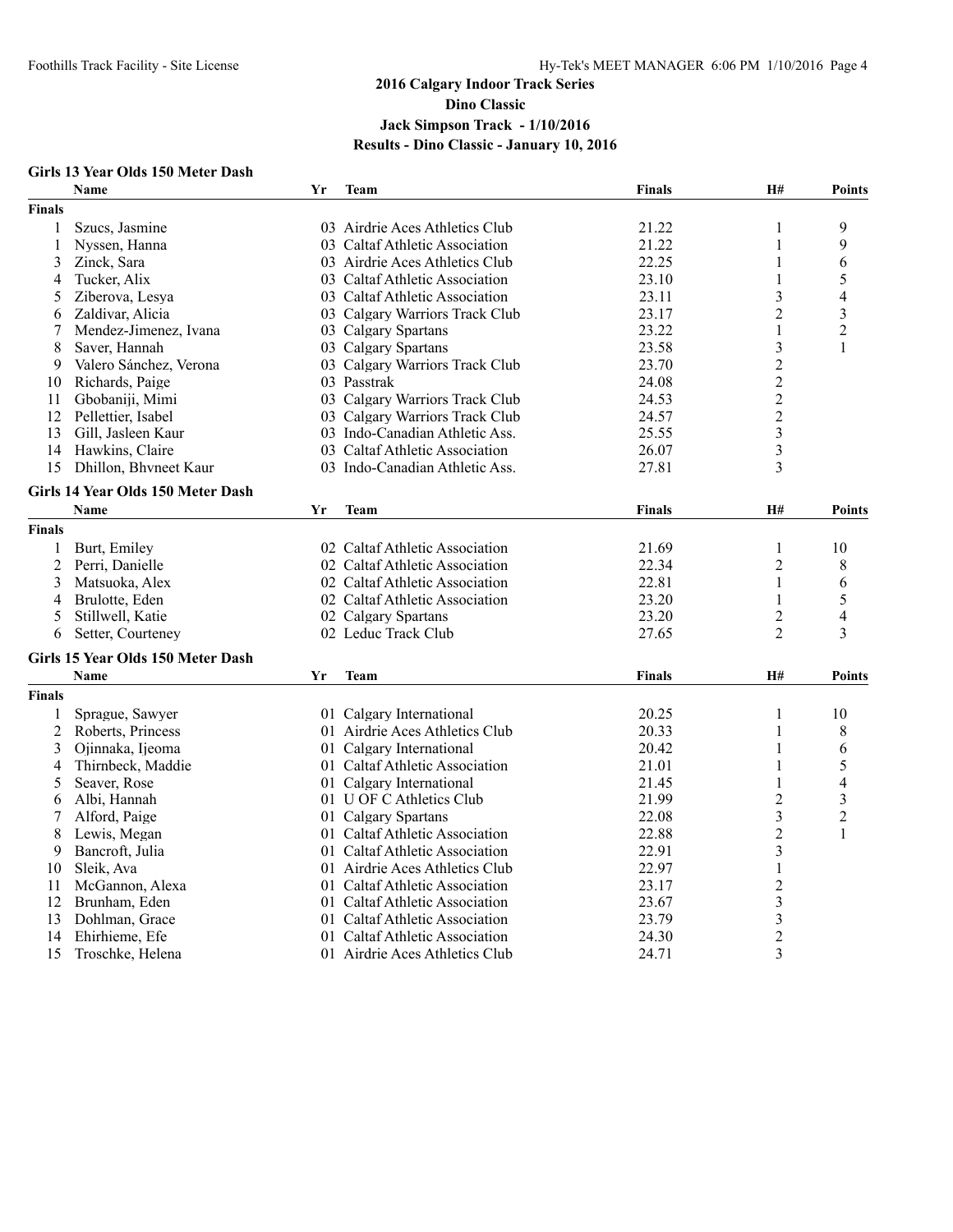### **Girls 13 Year Olds 150 Meter Dash**

|                | <b>Name</b>                       | Yr | <b>Team</b>                    | <b>Finals</b> | H#                      | <b>Points</b>  |
|----------------|-----------------------------------|----|--------------------------------|---------------|-------------------------|----------------|
| <b>Finals</b>  |                                   |    |                                |               |                         |                |
| 1              | Szucs, Jasmine                    |    | 03 Airdrie Aces Athletics Club | 21.22         | 1                       | 9              |
| 1              | Nyssen, Hanna                     |    | 03 Caltaf Athletic Association | 21.22         | 1                       | 9              |
| 3              | Zinck, Sara                       |    | 03 Airdrie Aces Athletics Club | 22.25         | 1                       | 6              |
| 4              | Tucker, Alix                      |    | 03 Caltaf Athletic Association | 23.10         | 1                       | 5              |
| 5              | Ziberova, Lesya                   |    | 03 Caltaf Athletic Association | 23.11         | 3                       | 4              |
| 6              | Zaldivar, Alicia                  |    | 03 Calgary Warriors Track Club | 23.17         | 2                       | 3              |
| 7              | Mendez-Jimenez, Ivana             |    | 03 Calgary Spartans            | 23.22         | 1                       | $\overline{c}$ |
| 8              | Saver, Hannah                     |    | 03 Calgary Spartans            | 23.58         | 3                       | 1              |
| 9              | Valero Sánchez, Verona            |    | 03 Calgary Warriors Track Club | 23.70         | $\overline{2}$          |                |
| 10             | Richards, Paige                   |    | 03 Passtrak                    | 24.08         | $\overline{2}$          |                |
| 11             | Gbobaniji, Mimi                   |    | 03 Calgary Warriors Track Club | 24.53         | $\overline{c}$          |                |
| 12             | Pellettier, Isabel                |    | 03 Calgary Warriors Track Club | 24.57         | $\overline{c}$          |                |
| 13             | Gill, Jasleen Kaur                |    | 03 Indo-Canadian Athletic Ass. | 25.55         | $\overline{\mathbf{3}}$ |                |
| 14             | Hawkins, Claire                   |    | 03 Caltaf Athletic Association | 26.07         | $\overline{\mathbf{3}}$ |                |
| 15             | Dhillon, Bhyneet Kaur             |    | 03 Indo-Canadian Athletic Ass. | 27.81         | 3                       |                |
|                | Girls 14 Year Olds 150 Meter Dash |    |                                |               |                         |                |
|                | <b>Name</b>                       | Yr | Team                           | <b>Finals</b> | H#                      | <b>Points</b>  |
| <b>Finals</b>  |                                   |    |                                |               |                         |                |
|                |                                   |    | 02 Caltaf Athletic Association | 21.69         |                         | 10             |
| 1              | Burt, Emiley                      |    |                                |               | 1                       |                |
| 2              | Perri, Danielle                   |    | 02 Caltaf Athletic Association | 22.34         | $\overline{c}$          | $\,$ $\,$      |
| 3              | Matsuoka, Alex                    |    | 02 Caltaf Athletic Association | 22.81         | 1                       | 6              |
| 4              | Brulotte, Eden                    |    | 02 Caltaf Athletic Association | 23.20         | 1                       | 5              |
| 5              | Stillwell, Katie                  |    | 02 Calgary Spartans            | 23.20         | $\overline{c}$          | $\overline{4}$ |
| 6              | Setter, Courteney                 |    | 02 Leduc Track Club            | 27.65         | $\overline{2}$          | 3              |
|                | Girls 15 Year Olds 150 Meter Dash |    |                                |               |                         |                |
|                | <b>Name</b>                       | Yr | Team                           | <b>Finals</b> | <b>H#</b>               | Points         |
| <b>Finals</b>  |                                   |    |                                |               |                         |                |
| 1              | Sprague, Sawyer                   |    | 01 Calgary International       | 20.25         | 1                       | 10             |
| $\overline{c}$ | Roberts, Princess                 |    | 01 Airdrie Aces Athletics Club | 20.33         | 1                       | $\,$ $\,$      |
| 3              | Ojinnaka, Ijeoma                  |    | 01 Calgary International       | 20.42         | 1                       | 6              |
| 4              | Thirnbeck, Maddie                 |    | 01 Caltaf Athletic Association | 21.01         | 1                       | 5              |
| 5              | Seaver, Rose                      |    | 01 Calgary International       | 21.45         | 1                       | $\overline{4}$ |
| 6              | Albi, Hannah                      |    | 01 U OF C Athletics Club       | 21.99         | 2                       | 3              |
| 7              | Alford, Paige                     |    | 01 Calgary Spartans            | 22.08         | $\mathfrak{Z}$          | $\overline{c}$ |
| 8              | Lewis, Megan                      |    | 01 Caltaf Athletic Association | 22.88         | $\overline{c}$          | 1              |
| 9              | Bancroft, Julia                   |    | 01 Caltaf Athletic Association | 22.91         | 3                       |                |
| 10             | Sleik, Ava                        |    | 01 Airdrie Aces Athletics Club | 22.97         | 1                       |                |
| 11             | McGannon, Alexa                   |    | 01 Caltaf Athletic Association | 23.17         | $\overline{c}$          |                |
| 12             | Brunham, Eden                     |    | 01 Caltaf Athletic Association | 23.67         | $\overline{\mathbf{3}}$ |                |
| 13             | Dohlman, Grace                    |    | 01 Caltaf Athletic Association | 23.79         | $\mathfrak{Z}$          |                |
| 14             | Ehirhieme, Efe                    |    | 01 Caltaf Athletic Association | 24.30         | $\overline{c}$          |                |
| 15             | Troschke, Helena                  |    | 01 Airdrie Aces Athletics Club | 24.71         | $\overline{3}$          |                |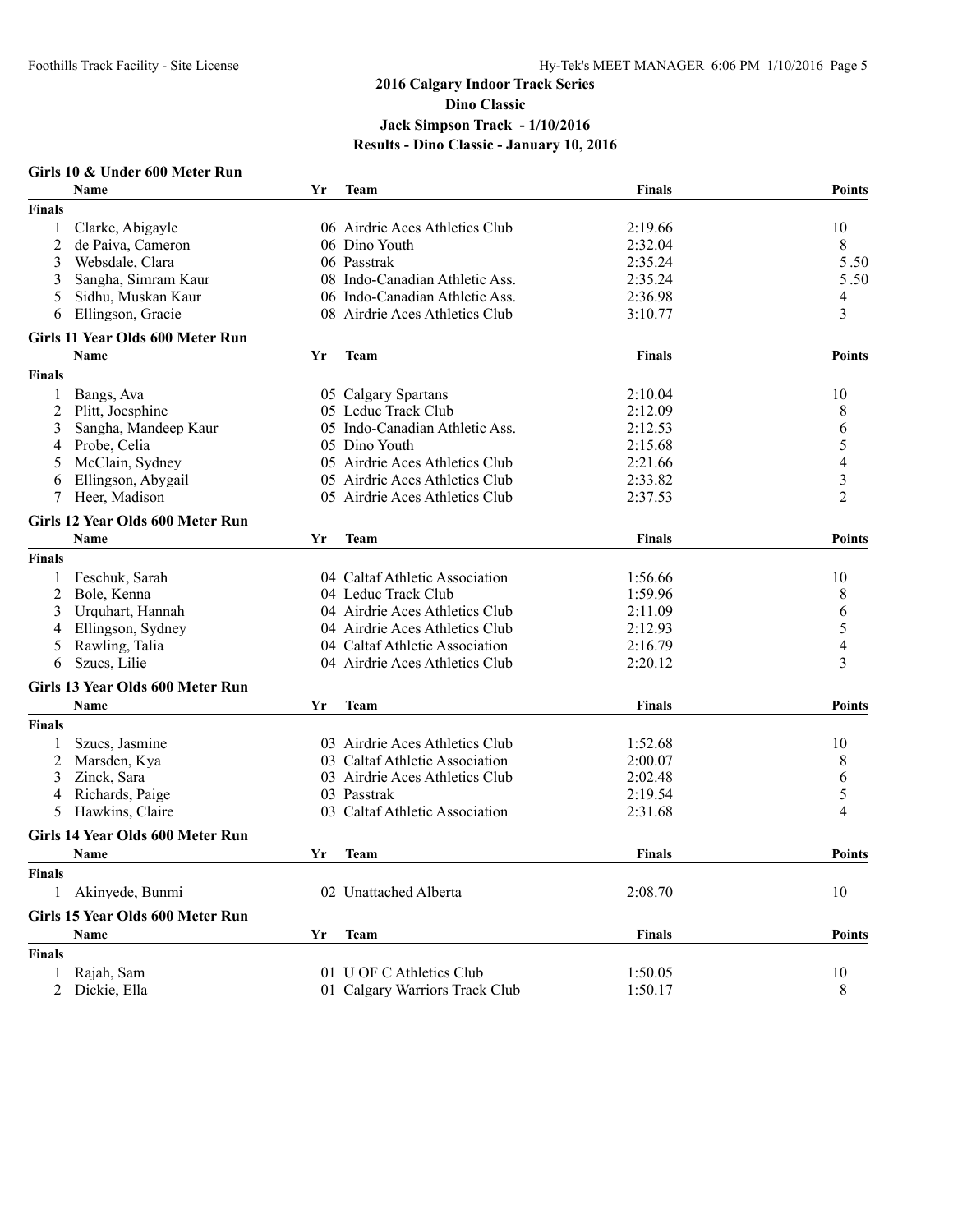#### **Girls 10 & Under 600 Meter Run Name Yr Team Finals Points Finals** 1 Clarke, Abigayle 06 Airdrie Aces Athletics Club 2:19.66 10 2 de Paiva, Cameron 106 Dino Youth 2:32.04 8<br>3 Websdale, Clara 106 Passtrak 2:35.24 5 3 Websdale, Clara 06 Passtrak 2:35.24 5 50 . 3 Sangha, Simram Kaur 08 Indo-Canadian Athletic Ass. 2:35.24 5 50 . 5 Sidhu, Muskan Kaur 06 Indo-Canadian Athletic Ass. 2:36.98 4 6 Ellingson, Gracie 08 Airdrie Aces Athletics Club 3:10.77 3 **Girls 11 Year Olds 600 Meter Run Name Yr Team Finals Points Finals** 1 Bangs, Ava 05 Calgary Spartans 2:10.04 10 2 Plitt, Joesphine 05 Leduc Track Club 2:12.09 8<br>3 Sangha. Mandeep Kaur 05 Indo-Canadian Athletic Ass. 2:12.53 6 3 Sangha, Mandeep Kaur 05 Indo-Canadian Athletic Ass. 2:12.53 6<br>4 Probe, Celia 05 Dino Youth 2:15.68 5 4 Probe, Celia 05 Dino Youth 2:15.68 5 5 McClain, Sydney 05 Airdrie Aces Athletics Club 2:21.66 4 6 Ellingson, Abygail 05 Airdrie Aces Athletics Club 2:33.82 3 7 Heer, Madison 05 Airdrie Aces Athletics Club 2:37.53 2 **Girls 12 Year Olds 600 Meter Run Name Yr Team Finals Points Finals** 1 Feschuk, Sarah 04 Caltaf Athletic Association 1:56.66 10 2 Bole, Kenna 04 Leduc Track Club 1:59.96 8 3 Urquhart, Hannah 04 Airdrie Aces Athletics Club 2:11.09 6<br>2:11.09 6 4 Airdrie Aces Athletics Club 2:12.93 5 4 Ellingson, Sydney 04 Airdrie Aces Athletics Club 2:12.93 5 5 Rawling, Talia 04 Caltaf Athletic Association 2:16.79 4 6 Szucs, Lilie 04 Airdrie Aces Athletics Club 2:20.12 3 **Girls 13 Year Olds 600 Meter Run Name Yr Team Finals Points Finals** 1 Szucs, Jasmine 1:52.68 10<br>
2 Marsden, Kva 10 03 Airdrie Aces Athletics Club 1:52.68 10<br>
2 Marsden, Kva 10 03 Caltaf Athletic Association 2:00.07 2 Marsden, Kya 03 Caltaf Athletic Association 2:00.07 8 3 Zinck, Sara 03 Airdrie Aces Athletics Club 2:02.48 6 4 Richards, Paige 03 Passtrak 2:19.54 5 5 Hawkins, Claire 03 Caltaf Athletic Association 2:31.68 4 **Girls 14 Year Olds 600 Meter Run Name Yr Team Finals Points Finals** 1 Akinyede, Bunmi 02 Unattached Alberta 2:08.70 10 **Girls 15 Year Olds 600 Meter Run Name Yr Team Finals Points Finals** 1 Rajah, Sam 1:50.05 10 01 U OF C Athletics Club 1:50.05 10 2 Dickie, Ella 01 Calgary Warriors Track Club 1:50.17 8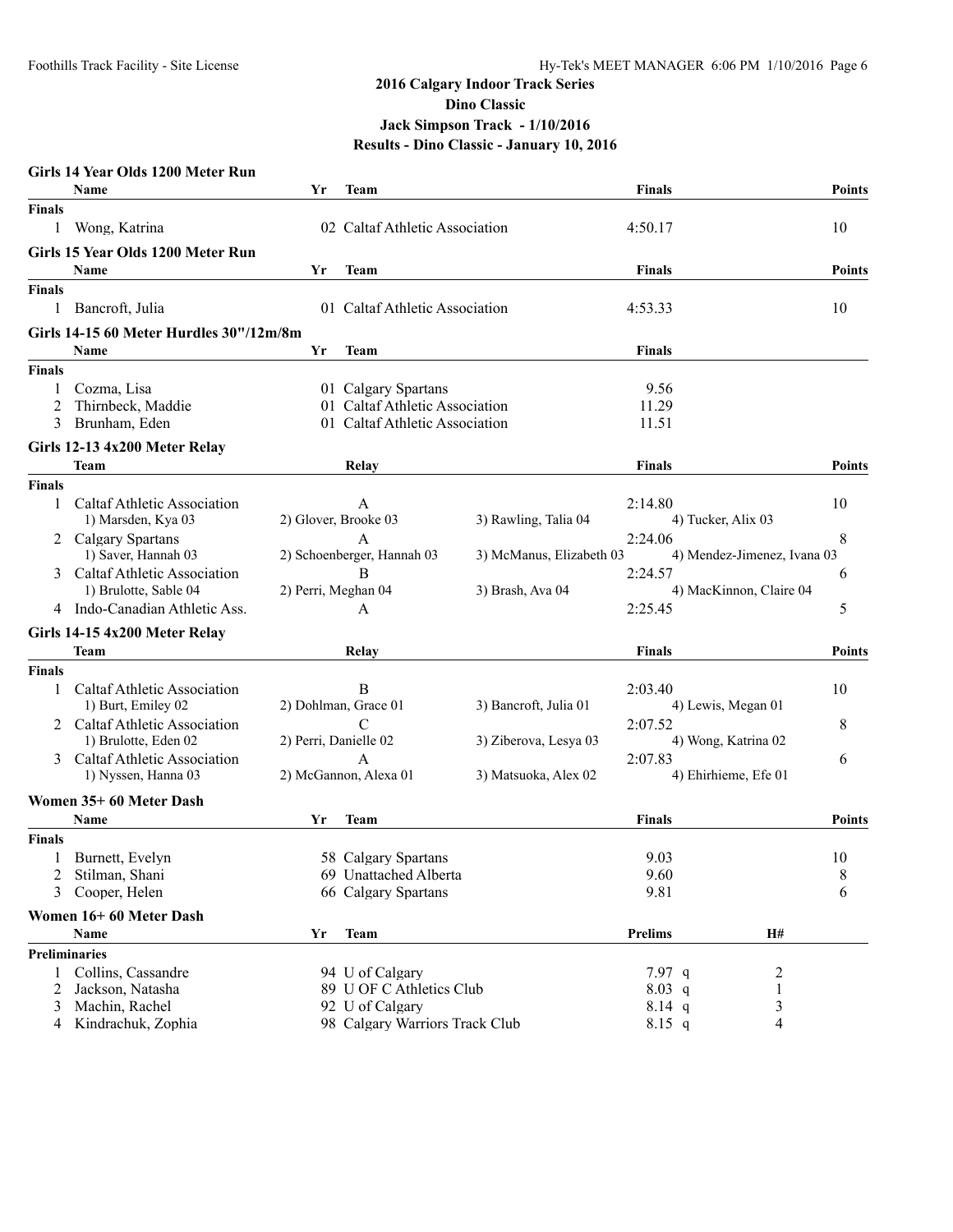|               | Girls 14 Year Olds 1200 Meter Run       |                       |                                                   |                          |                    |                             |               |
|---------------|-----------------------------------------|-----------------------|---------------------------------------------------|--------------------------|--------------------|-----------------------------|---------------|
|               | <b>Name</b>                             | Yr                    | Team                                              |                          | <b>Finals</b>      |                             | <b>Points</b> |
| <b>Finals</b> |                                         |                       |                                                   |                          |                    |                             |               |
| 1             | Wong, Katrina                           |                       | 02 Caltaf Athletic Association                    |                          | 4:50.17            |                             | 10            |
|               | Girls 15 Year Olds 1200 Meter Run       |                       |                                                   |                          |                    |                             |               |
|               | <b>Name</b>                             | Yr                    | Team                                              |                          | <b>Finals</b>      |                             | <b>Points</b> |
| <b>Finals</b> |                                         |                       |                                                   |                          |                    |                             |               |
| 1             | Bancroft, Julia                         |                       | 01 Caltaf Athletic Association                    |                          | 4:53.33            |                             | 10            |
|               | Girls 14-15 60 Meter Hurdles 30"/12m/8m |                       |                                                   |                          |                    |                             |               |
|               | <b>Name</b>                             | Yr                    | <b>Team</b>                                       |                          | <b>Finals</b>      |                             |               |
|               |                                         |                       |                                                   |                          |                    |                             |               |
| <b>Finals</b> |                                         |                       |                                                   |                          |                    |                             |               |
|               | Cozma, Lisa                             |                       | 01 Calgary Spartans                               |                          | 9.56               |                             |               |
| 2<br>3        | Thirnbeck, Maddie                       |                       | 01 Caltaf Athletic Association                    |                          | 11.29              |                             |               |
|               | Brunham, Eden                           |                       | 01 Caltaf Athletic Association                    |                          | 11.51              |                             |               |
|               | Girls 12-13 4x200 Meter Relay           |                       |                                                   |                          |                    |                             |               |
|               | Team                                    |                       | Relay                                             |                          | <b>Finals</b>      |                             | <b>Points</b> |
| Finals        |                                         |                       |                                                   |                          |                    |                             |               |
| 1             | Caltaf Athletic Association             |                       | A                                                 |                          | 2:14.80            |                             | 10            |
|               | 1) Marsden, Kya 03                      |                       | 2) Glover, Brooke 03                              | 3) Rawling, Talia 04     | 4) Tucker, Alix 03 |                             |               |
|               | 2 Calgary Spartans                      |                       | $\overline{A}$                                    |                          | 2:24.06            |                             | 8             |
|               | 1) Saver, Hannah 03                     |                       | 2) Schoenberger, Hannah 03                        | 3) McManus, Elizabeth 03 |                    | 4) Mendez-Jimenez, Ivana 03 |               |
| 3             | Caltaf Athletic Association             |                       | B                                                 |                          | 2:24.57            |                             | 6             |
|               | 1) Brulotte, Sable 04                   | 2) Perri, Meghan 04   |                                                   | 3) Brash, Ava 04         |                    | 4) MacKinnon, Claire 04     |               |
|               | 4 Indo-Canadian Athletic Ass.           |                       | A                                                 |                          | 2:25.45            |                             | 5             |
|               | Girls 14-15 4x200 Meter Relay           |                       |                                                   |                          |                    |                             |               |
|               | Team                                    |                       | Relay                                             |                          | <b>Finals</b>      |                             | <b>Points</b> |
| Finals        |                                         |                       |                                                   |                          |                    |                             |               |
|               | Caltaf Athletic Association             |                       | B                                                 |                          | 2:03.40            |                             | 10            |
|               | 1) Burt, Emiley 02                      |                       | 2) Dohlman, Grace 01                              | 3) Bancroft, Julia 01    |                    | 4) Lewis, Megan 01          |               |
|               | 2 Caltaf Athletic Association           |                       | $\mathcal{C}$                                     |                          | 2:07.52            |                             | 8             |
|               | 1) Brulotte, Eden 02                    | 2) Perri, Danielle 02 |                                                   | 3) Ziberova, Lesya 03    |                    | 4) Wong, Katrina 02         |               |
| 3             | Caltaf Athletic Association             |                       | $\mathbf{A}$                                      |                          | 2:07.83            |                             | 6             |
|               | 1) Nyssen, Hanna 03                     |                       | 2) McGannon, Alexa 01                             | 3) Matsuoka, Alex 02     |                    | 4) Ehirhieme, Efe 01        |               |
|               | Women 35+60 Meter Dash                  |                       |                                                   |                          |                    |                             |               |
|               | Name                                    | Yr                    | Team                                              |                          | <b>Finals</b>      |                             | <b>Points</b> |
| Finals        |                                         |                       |                                                   |                          |                    |                             |               |
|               | Burnett, Evelyn                         |                       | 58 Calgary Spartans                               |                          | 9.03               |                             | 10            |
| 2             | Stilman, Shani                          |                       | 69 Unattached Alberta                             |                          | 9.60               |                             | 8             |
|               | Cooper, Helen                           |                       | 66 Calgary Spartans                               |                          | 9.81               |                             | 6             |
|               |                                         |                       |                                                   |                          |                    |                             |               |
|               | Women 16+60 Meter Dash<br>Name          |                       |                                                   |                          |                    | H#                          |               |
|               |                                         | Yr                    | <b>Team</b>                                       |                          | <b>Prelims</b>     |                             |               |
|               | <b>Preliminaries</b>                    |                       |                                                   |                          |                    |                             |               |
| 1             | Collins, Cassandre                      |                       | 94 U of Calgary                                   |                          | 7.97 q             | 2                           |               |
| 2             | Jackson, Natasha                        |                       | 89 U OF C Athletics Club                          |                          | 8.03 q             |                             |               |
| 3             | Machin, Rachel                          |                       | 92 U of Calgary<br>98 Calgary Warriors Track Club |                          | $8.14$ q           | 3                           |               |
| 4             | Kindrachuk, Zophia                      |                       |                                                   |                          | 8.15 q             | 4                           |               |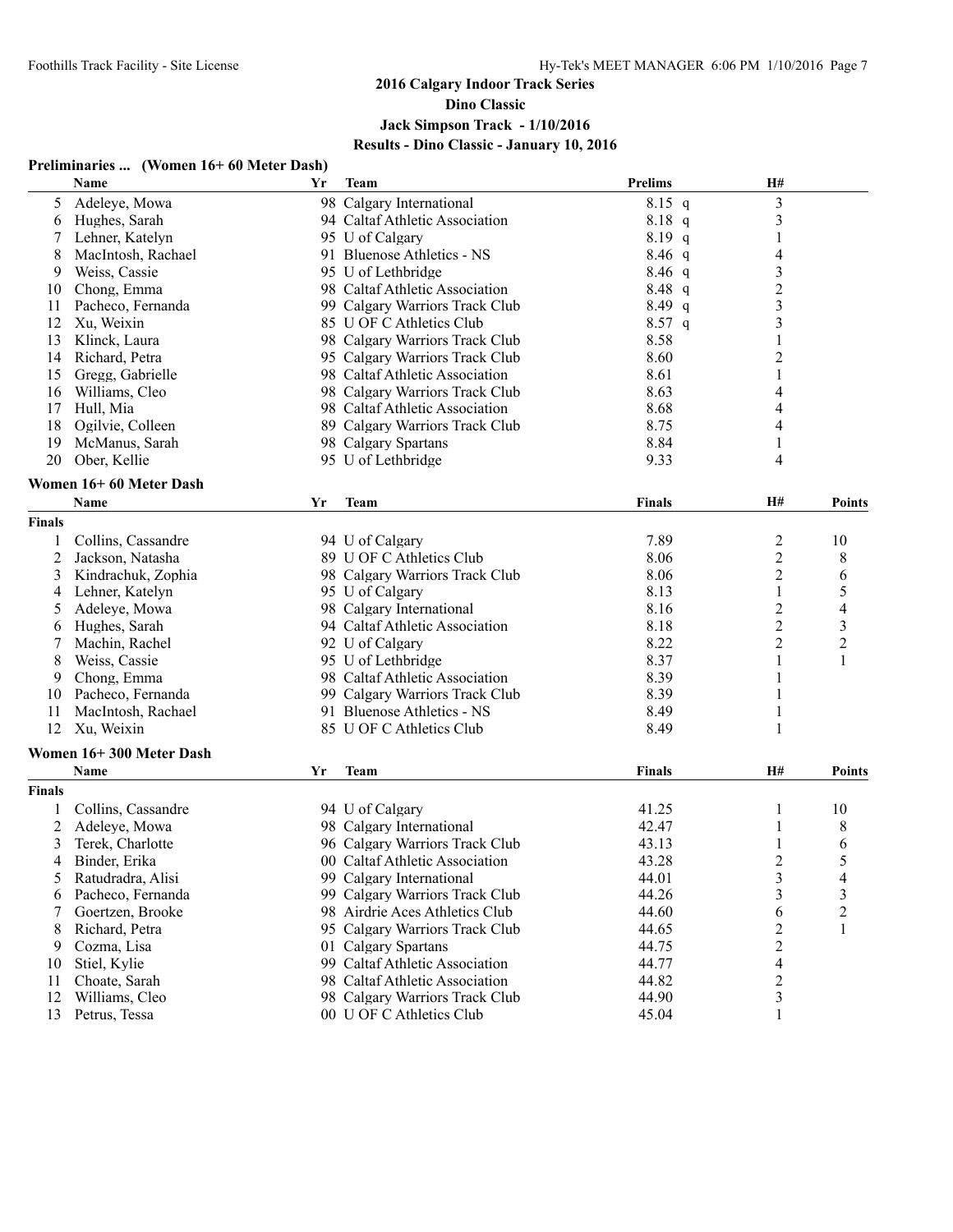# **2016 Calgary Indoor Track Series**

**Dino Classic**

# **Jack Simpson Track - 1/10/2016 Results - Dino Classic - January 10, 2016**

#### **Preliminaries ... (Women 16+ 60 Meter Dash)**

|               | Name                    | Yr | <b>Team</b>                    | <b>Prelims</b> | H#                      |                         |
|---------------|-------------------------|----|--------------------------------|----------------|-------------------------|-------------------------|
| 5             | Adeleye, Mowa           |    | 98 Calgary International       | $8.15$ q       | $\mathfrak{Z}$          |                         |
| 6             | Hughes, Sarah           |    | 94 Caltaf Athletic Association | 8.18 q         | $\mathfrak{Z}$          |                         |
| 7             | Lehner, Katelyn         |    | 95 U of Calgary                | $8.19$ q       | 1                       |                         |
| 8             | MacIntosh, Rachael      |    | 91 Bluenose Athletics - NS     | $8.46$ q       | 4                       |                         |
| 9             | Weiss, Cassie           |    | 95 U of Lethbridge             | $8.46$ q       | $\mathfrak{Z}$          |                         |
| 10            | Chong, Emma             |    | 98 Caltaf Athletic Association | 8.48 q         | $\overline{c}$          |                         |
| 11            | Pacheco, Fernanda       |    | 99 Calgary Warriors Track Club | $8.49$ q       | $\overline{\mathbf{3}}$ |                         |
| 12            | Xu, Weixin              |    | 85 U OF C Athletics Club       | $8.57$ q       | $\mathfrak{Z}$          |                         |
| 13            | Klinck, Laura           |    | 98 Calgary Warriors Track Club | 8.58           |                         |                         |
| 14            | Richard, Petra          |    | 95 Calgary Warriors Track Club | 8.60           | $\overline{c}$          |                         |
| 15            | Gregg, Gabrielle        |    | 98 Caltaf Athletic Association | 8.61           | 1                       |                         |
| 16            | Williams, Cleo          |    | 98 Calgary Warriors Track Club | 8.63           | 4                       |                         |
| 17            | Hull, Mia               |    | 98 Caltaf Athletic Association | 8.68           | 4                       |                         |
| 18            | Ogilvie, Colleen        |    | 89 Calgary Warriors Track Club | 8.75           | 4                       |                         |
| 19            | McManus, Sarah          |    | 98 Calgary Spartans            | 8.84           | 1                       |                         |
| 20            | Ober, Kellie            |    | 95 U of Lethbridge             | 9.33           | 4                       |                         |
|               |                         |    |                                |                |                         |                         |
|               | Women 16+60 Meter Dash  |    |                                |                |                         |                         |
|               | <b>Name</b>             | Yr | <b>Team</b>                    | <b>Finals</b>  | <b>H#</b>               | <b>Points</b>           |
| <b>Finals</b> |                         |    |                                |                |                         |                         |
|               | Collins, Cassandre      |    | 94 U of Calgary                | 7.89           | $\overline{c}$          | 10                      |
| 2             | Jackson, Natasha        |    | 89 U OF C Athletics Club       | 8.06           | $\boldsymbol{2}$        | 8                       |
| 3             | Kindrachuk, Zophia      |    | 98 Calgary Warriors Track Club | 8.06           | $\overline{c}$          | 6                       |
| 4             | Lehner, Katelyn         |    | 95 U of Calgary                | 8.13           | 1                       | 5                       |
| 5             | Adeleye, Mowa           |    | 98 Calgary International       | 8.16           | 2                       | 4                       |
| 6             | Hughes, Sarah           |    | 94 Caltaf Athletic Association | 8.18           | $\overline{2}$          | $\overline{\mathbf{3}}$ |
| 7             | Machin, Rachel          |    | 92 U of Calgary                | 8.22           | $\overline{2}$          | $\overline{2}$          |
| 8             | Weiss, Cassie           |    | 95 U of Lethbridge             | 8.37           | 1                       | 1                       |
| 9             | Chong, Emma             |    | 98 Caltaf Athletic Association | 8.39           | 1                       |                         |
| 10            | Pacheco, Fernanda       |    | 99 Calgary Warriors Track Club | 8.39           | 1                       |                         |
| 11            | MacIntosh, Rachael      |    | 91 Bluenose Athletics - NS     | 8.49           | 1                       |                         |
| 12            | Xu, Weixin              |    | 85 U OF C Athletics Club       | 8.49           | 1                       |                         |
|               | Women 16+300 Meter Dash |    |                                |                |                         |                         |
|               | Name                    | Yr | <b>Team</b>                    | <b>Finals</b>  | H#                      | <b>Points</b>           |
| <b>Finals</b> |                         |    |                                |                |                         |                         |
|               | Collins, Cassandre      |    | 94 U of Calgary                | 41.25          | 1                       | 10                      |
| 2             | Adeleye, Mowa           |    | 98 Calgary International       | 42.47          | 1                       | 8                       |
| 3             | Terek, Charlotte        |    | 96 Calgary Warriors Track Club | 43.13          |                         | 6                       |
| 4             | Binder, Erika           |    | 00 Caltaf Athletic Association | 43.28          | 2                       | 5                       |
| $\mathcal{L}$ | Ratudradra, Alisi       |    | 99 Calgary International       | 44.01          | 3                       | 4                       |
| 6             | Pacheco, Fernanda       |    | 99 Calgary Warriors Track Club | 44.26          | 3                       | 3                       |
| 7             | Goertzen, Brooke        |    | 98 Airdrie Aces Athletics Club | 44.60          | 6                       | $\overline{c}$          |
| 8             | Richard, Petra          |    | 95 Calgary Warriors Track Club | 44.65          |                         |                         |
| 9             | Cozma, Lisa             |    | 01 Calgary Spartans            | 44.75          | 2<br>2                  |                         |
|               | Stiel, Kylie            |    | 99 Caltaf Athletic Association | 44.77          | 4                       |                         |
| 10<br>11      | Choate, Sarah           |    | 98 Caltaf Athletic Association | 44.82          | $\overline{c}$          |                         |
| 12            | Williams, Cleo          |    | 98 Calgary Warriors Track Club | 44.90          | 3                       |                         |
|               | 13 Petrus, Tessa        |    | 00 U OF C Athletics Club       | 45.04          | 1                       |                         |
|               |                         |    |                                |                |                         |                         |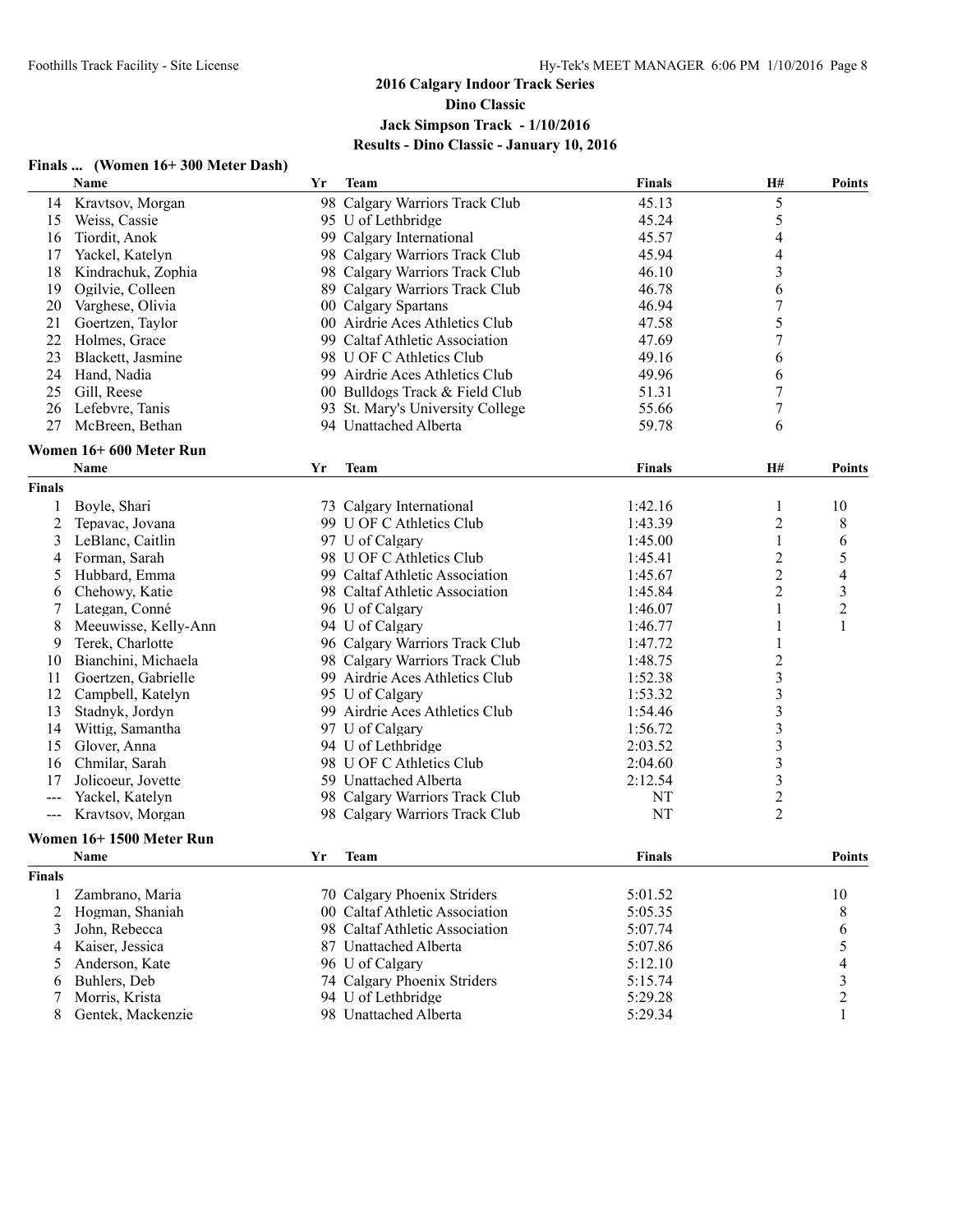#### **Finals ... (Women 16+ 300 Meter Dash) Name Yr Team Finals H# Points** 14 Kravtsov, Morgan 198 Calgary Warriors Track Club 45.13 5<br>15 Weiss, Cassie 195 U of Lethbridge 45.24 5 15 Weiss, Cassie 25.24 95 U of Lethbridge 25.24 5.24 16 Tiordit, Anok 99 Calgary International 45.57 4 17 Yackel, Katelyn 98 Calgary Warriors Track Club 45.94 4 18 Kindrachuk, Zophia 98 Calgary Warriors Track Club 46.10 3 19 Ogilvie, Colleen 89 Calgary Warriors Track Club 46.78 6 20 Varghese, Olivia 20 00 Octlgary Spartans 20 20 20 20 20 46.94 7 21 Goertzen, Taylor 100 Airdrie Aces Athletics Club 17.58 5<br>22 Holmes. Grace 199 Caltaf Athletic Association 17.69 7 22 Holmes, Grace 99 Caltaf Athletic Association 47.69 23 Blackett, Jasmine 98 U OF C Athletics Club 49.16 6 24 Hand, Nadia 99 Airdrie Aces Athletics Club 49.96 6 25 Gill, Reese 00 Bulldogs Track & Field Club 51.31 7 26 Lefebvre, Tanis 93 St. Mary's University College 55.66 7 27 McBreen, Bethan 94 Unattached Alberta 59.78 6 **Women 16+ 600 Meter Run Name Yr Team Finals H# Points Finals** 1 Boyle, Shari 11 2 Tepavac, Jovana 1:42.16 1 10<br>
2 Tepavac, Jovana 1:43.39 100 F C Athletics Club 1:43.39 2 8 2 Tepavac, Jovana 99 U OF C Athletics Club 1:43.39 3 LeBlanc, Caitlin 1:45.00 1 6<br>
4 Forman, Sarah 1:45.00 1 98 U OF C Athletics Club 1:45.41 2 5 4 Forman, Sarah 1:45.41 2 5<br>5 Hubbard. Emma 99 Caltaf Athletic Association 1:45.67 2 4 5 Hubbard, Emma 99 Caltaf Athletic Association 1:45.67 2 4 6 Chehowy, Katie 98 Caltaf Athletic Association 1:45.84 2 3 7 Lategan, Conné 1:46.07 1 2<br>
8 Meeuwisse, Kelly-Ann 194 U of Calgary 1:46.07 1 2<br>
1:46.77 1 1 8 Meeuwisse, Kelly-Ann 94 U of Calgary 1:46.77 9 Terek, Charlotte 96 Calgary Warriors Track Club 1:47.72 1 10 Bianchini, Michaela 1:48.75 2<br>11 Goertzen, Gabrielle 1:52.38 3 11 Goertzen, Gabrielle 99 Airdrie Aces Athletics Club 1:52.38 3 12 Campbell, Katelyn 1:53.32 3<br>13 Stadnyk Jordyn 1:54.46 5 99 Airdrie Aces Athletics Club 1:54.46 3 13 Stadnyk, Jordyn 99 Airdrie Aces Athletics Club 1:54.46 3<br>14 Wittig, Samantha 97 U of Calgary 1:56.72 3 14 Wittig, Samantha 15 Glover, Anna 15 Glover, Anna 16 Gloven ann ann ann an 16 Gloven ann an 16 Gloven ann an 16 Gloven ann an 16 Gloven ann an 16 Gloven ann an 16 Gloven ann an 16 Gloven ann an 16 Gloven ann an 16 Gloven ann an 16 Gloven an 16 Chmilar, Sarah 17 Jolicoeur, Jovette 198 U OF C Athletics Club 2:04.60 3<br>17 Jolicoeur, Jovette 199 Unattached Alberta 2:12.54 3 17 Jolicoeur, Jovette 59 Unattached Alberta 2:12.54 3 --- Yackel, Katelyn 98 Calgary Warriors Track Club NT 2 Kravtsov, Morgan 98 Calgary Warriors Track Club NT **Women 16+ 1500 Meter Run Name Yr Team Finals Points Finals** 1 Zambrano, Maria 70 Calgary Phoenix Striders 5:01.52 10 2 Hogman, Shaniah 00 Caltaf Athletic Association 5:05.35 8 8 3 John, Rebecca 6 98 Caltaf Athletic Association 5:07.74 6 5:07.74 6 4 Kaiser, Jessica 87 Unattached Alberta 5:07.86 5<br>5 Anderson Kate 96 U of Calgary 5:12.10 4 5 Anderson, Kate 96 U of Calgary 5:12.10 6 Buhlers, Deb 74 Calgary Phoenix Striders 5:15.74 3 7 Morris, Krista 94 U of Lethbridge 5:29.28 2

8 Gentek, Mackenzie 98 Unattached Alberta 5:29.34 1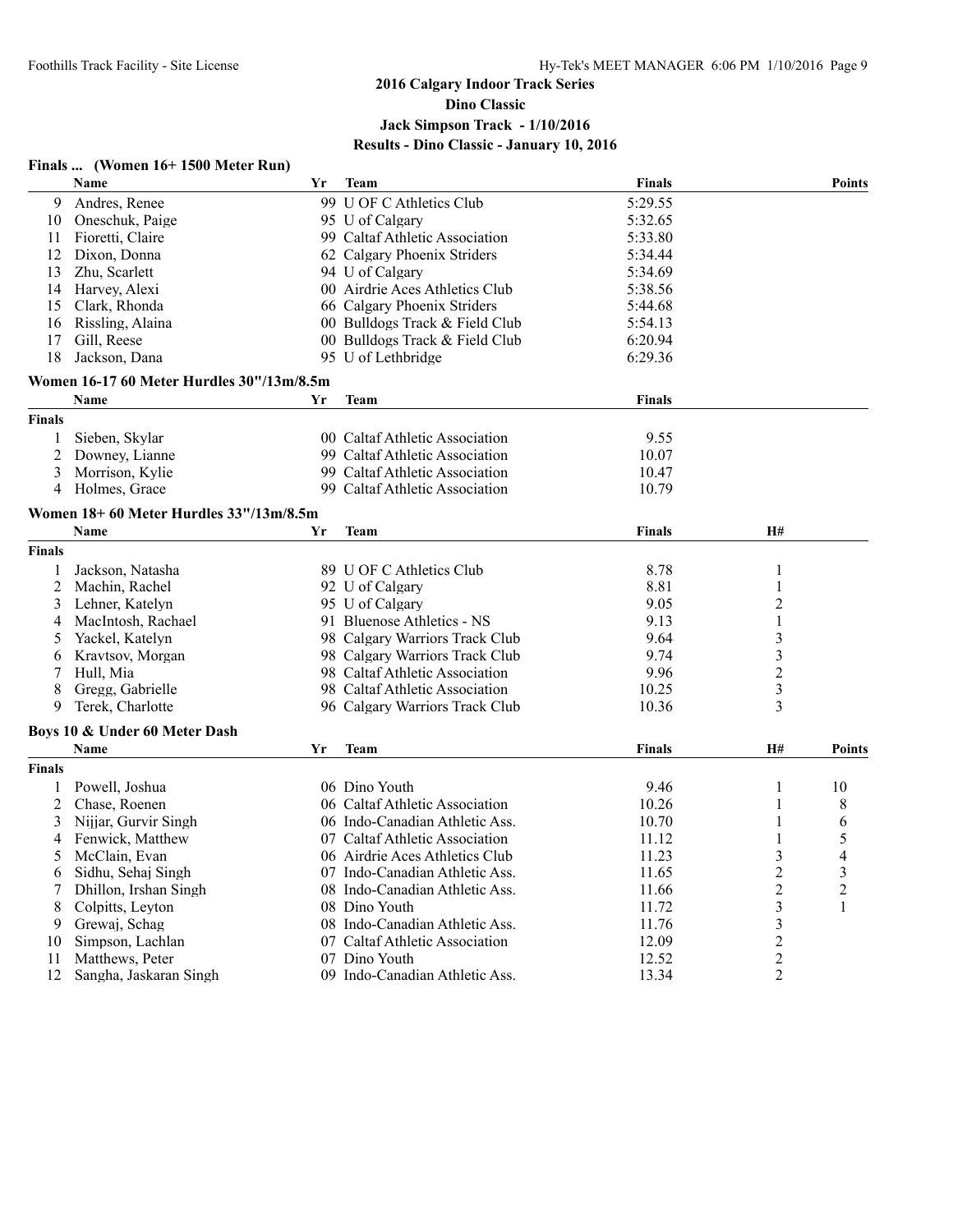#### **Finals ... (Women 16+ 1500 Meter Run)**

|                | Name                                      | Yr | <b>Team</b>                    | <b>Finals</b> |                | <b>Points</b>  |
|----------------|-------------------------------------------|----|--------------------------------|---------------|----------------|----------------|
| 9              | Andres, Renee                             |    | 99 U OF C Athletics Club       | 5:29.55       |                |                |
| 10             | Oneschuk, Paige                           |    | 95 U of Calgary                | 5:32.65       |                |                |
| 11             | Fioretti, Claire                          |    | 99 Caltaf Athletic Association | 5:33.80       |                |                |
| 12             | Dixon, Donna                              |    | 62 Calgary Phoenix Striders    | 5:34.44       |                |                |
| 13             | Zhu, Scarlett                             |    | 94 U of Calgary                | 5:34.69       |                |                |
| 14             | Harvey, Alexi                             |    | 00 Airdrie Aces Athletics Club | 5:38.56       |                |                |
| 15             | Clark, Rhonda                             |    | 66 Calgary Phoenix Striders    | 5:44.68       |                |                |
| 16             | Rissling, Alaina                          |    | 00 Bulldogs Track & Field Club | 5:54.13       |                |                |
| 17             | Gill, Reese                               |    | 00 Bulldogs Track & Field Club | 6:20.94       |                |                |
| 18             | Jackson, Dana                             |    | 95 U of Lethbridge             | 6:29.36       |                |                |
|                | Women 16-17 60 Meter Hurdles 30"/13m/8.5m |    |                                |               |                |                |
|                | <b>Name</b>                               | Yr | Team                           | <b>Finals</b> |                |                |
| <b>Finals</b>  |                                           |    |                                |               |                |                |
| 1              | Sieben, Skylar                            |    | 00 Caltaf Athletic Association | 9.55          |                |                |
| 2              | Downey, Lianne                            |    | 99 Caltaf Athletic Association | 10.07         |                |                |
| 3              | Morrison, Kylie                           |    | 99 Caltaf Athletic Association | 10.47         |                |                |
| 4              | Holmes, Grace                             |    | 99 Caltaf Athletic Association | 10.79         |                |                |
|                | Women 18+60 Meter Hurdles 33"/13m/8.5m    |    |                                |               |                |                |
|                | <b>Name</b>                               | Yr | <b>Team</b>                    | <b>Finals</b> | H#             |                |
| <b>Finals</b>  |                                           |    |                                |               |                |                |
| 1              | Jackson, Natasha                          |    | 89 U OF C Athletics Club       | 8.78          | 1              |                |
| $\overline{c}$ | Machin, Rachel                            |    | 92 U of Calgary                | 8.81          | 1              |                |
| 3              | Lehner, Katelyn                           |    | 95 U of Calgary                | 9.05          | 2              |                |
| 4              | MacIntosh, Rachael                        |    | 91 Bluenose Athletics - NS     | 9.13          | 1              |                |
| 5              | Yackel, Katelyn                           |    | 98 Calgary Warriors Track Club | 9.64          | 3              |                |
|                | Kravtsov, Morgan                          |    | 98 Calgary Warriors Track Club | 9.74          | 3              |                |
| 6              |                                           |    | 98 Caltaf Athletic Association | 9.96          | $\overline{2}$ |                |
| 7              | Hull, Mia                                 |    |                                |               | 3              |                |
| 8<br>9         | Gregg, Gabrielle                          |    | 98 Caltaf Athletic Association | 10.25         |                |                |
|                | Terek, Charlotte                          |    | 96 Calgary Warriors Track Club | 10.36         | 3              |                |
|                | Boys 10 & Under 60 Meter Dash             |    |                                |               |                |                |
|                | Name                                      | Yr | <b>Team</b>                    | <b>Finals</b> | <b>H#</b>      | <b>Points</b>  |
| <b>Finals</b>  |                                           |    |                                |               |                |                |
| 1              | Powell, Joshua                            |    | 06 Dino Youth                  | 9.46          | 1              | 10             |
| $\overline{c}$ | Chase, Roenen                             |    | 06 Caltaf Athletic Association | 10.26         | 1              | 8              |
| 3              | Nijjar, Gurvir Singh                      |    | 06 Indo-Canadian Athletic Ass. | 10.70         | 1              | 6              |
| 4              | Fenwick, Matthew                          |    | 07 Caltaf Athletic Association | 11.12         | 1              | 5              |
| 5              | McClain, Evan                             |    | 06 Airdrie Aces Athletics Club | 11.23         | 3              | 4              |
| 6              | Sidhu, Sehaj Singh                        |    | 07 Indo-Canadian Athletic Ass. | 11.65         | 2              | $\mathfrak{Z}$ |
|                | Dhillon, Irshan Singh                     |    | 08 Indo-Canadian Athletic Ass. | 11.66         | $\overline{2}$ | $\overline{c}$ |
| 8              | Colpitts, Leyton                          |    | 08 Dino Youth                  | 11.72         | 3              | $\mathbf{1}$   |
| 9              | Grewaj, Schag                             |    | 08 Indo-Canadian Athletic Ass. | 11.76         | 3              |                |
| 10             | Simpson, Lachlan                          |    | 07 Caltaf Athletic Association | 12.09         | $\mathbf{2}$   |                |
| 11             | Matthews, Peter                           |    | 07 Dino Youth                  | 12.52         | $\overline{2}$ |                |
| 12             | Sangha, Jaskaran Singh                    |    | 09 Indo-Canadian Athletic Ass. | 13.34         | $\overline{2}$ |                |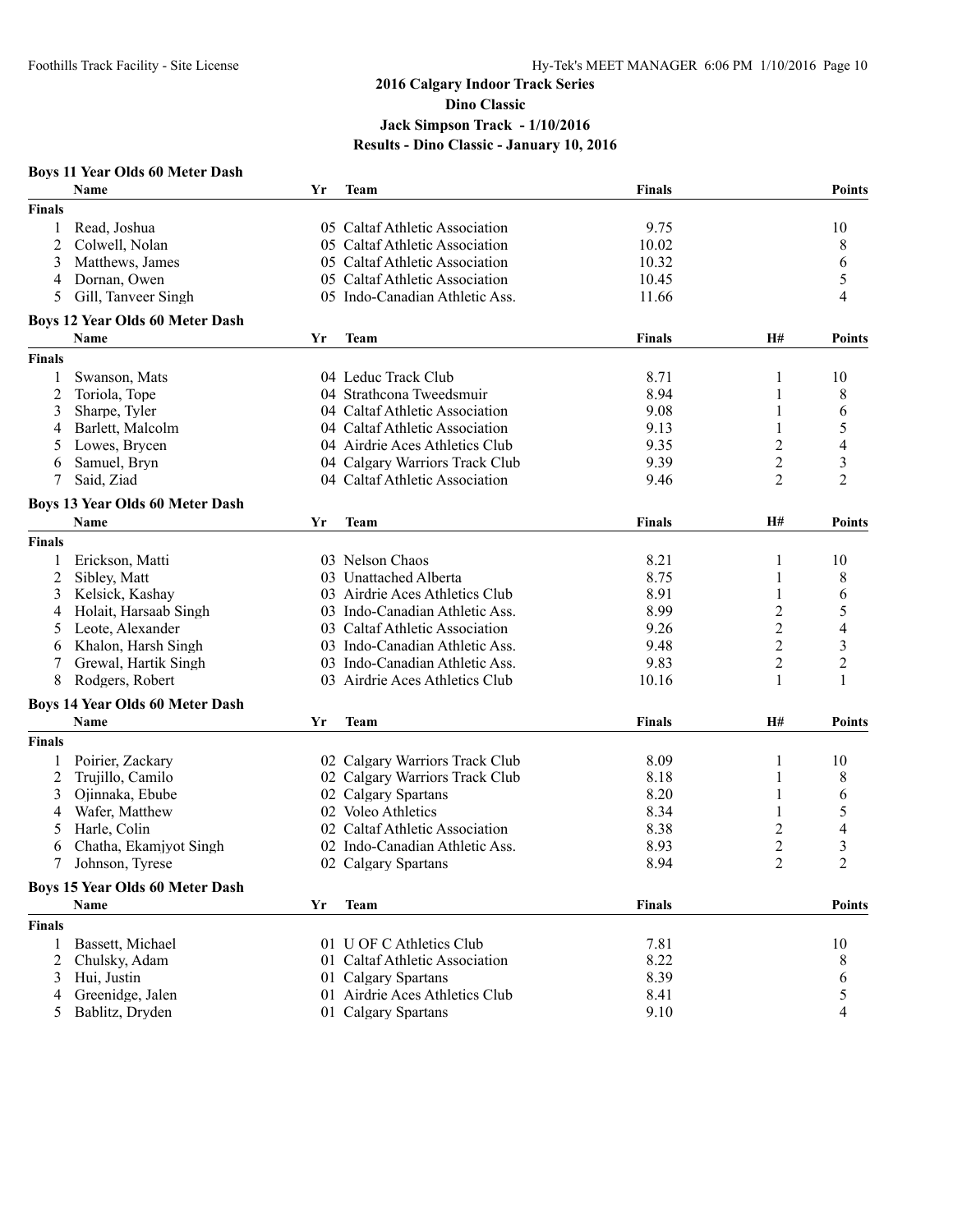| <b>Boys 11 Year Olds 60 Meter Dash</b> |  |  |  |  |  |
|----------------------------------------|--|--|--|--|--|
|----------------------------------------|--|--|--|--|--|

|               | Name                                                  | Yr | <b>Team</b>                    | <b>Finals</b> |                | <b>Points</b>           |
|---------------|-------------------------------------------------------|----|--------------------------------|---------------|----------------|-------------------------|
| <b>Finals</b> |                                                       |    |                                |               |                |                         |
| 1             | Read, Joshua                                          |    | 05 Caltaf Athletic Association | 9.75          |                | 10                      |
| 2             | Colwell, Nolan                                        |    | 05 Caltaf Athletic Association | 10.02         |                | 8                       |
| 3             | Matthews, James                                       |    | 05 Caltaf Athletic Association | 10.32         |                | 6                       |
| 4             | Dornan, Owen                                          |    | 05 Caltaf Athletic Association | 10.45         |                | 5                       |
| 5             | Gill, Tanveer Singh                                   |    | 05 Indo-Canadian Athletic Ass. | 11.66         |                | 4                       |
|               | <b>Boys 12 Year Olds 60 Meter Dash</b>                |    |                                |               |                |                         |
|               | Name                                                  | Yr | <b>Team</b>                    | Finals        | H#             | <b>Points</b>           |
| <b>Finals</b> |                                                       |    |                                |               |                |                         |
|               | Swanson, Mats                                         |    | 04 Leduc Track Club            | 8.71          | 1              | 10                      |
| 2             | Toriola, Tope                                         |    | 04 Strathcona Tweedsmuir       | 8.94          | 1              | 8                       |
| 3             | Sharpe, Tyler                                         |    | 04 Caltaf Athletic Association | 9.08          | 1              | 6                       |
| 4             | Barlett, Malcolm                                      |    | 04 Caltaf Athletic Association | 9.13          | 1              | 5                       |
| 5             | Lowes, Brycen                                         |    | 04 Airdrie Aces Athletics Club | 9.35          | 2              | 4                       |
| 6             | Samuel, Bryn                                          |    | 04 Calgary Warriors Track Club | 9.39          | 2              | 3                       |
|               | Said, Ziad                                            |    | 04 Caltaf Athletic Association | 9.46          | 2              | $\overline{2}$          |
|               | <b>Boys 13 Year Olds 60 Meter Dash</b>                |    |                                |               |                |                         |
|               | Name                                                  | Yr | Team                           | <b>Finals</b> | <b>H#</b>      | <b>Points</b>           |
| <b>Finals</b> |                                                       |    |                                |               |                |                         |
| 1             | Erickson, Matti                                       |    | 03 Nelson Chaos                | 8.21          | 1              | 10                      |
| 2             | Sibley, Matt                                          |    | 03 Unattached Alberta          | 8.75          | 1              | 8                       |
| 3             | Kelsick, Kashay                                       |    | 03 Airdrie Aces Athletics Club | 8.91          |                | 6                       |
| 4             | Holait, Harsaab Singh                                 |    | 03 Indo-Canadian Athletic Ass. | 8.99          | $\overline{c}$ | 5                       |
| 5             | Leote, Alexander                                      |    | 03 Caltaf Athletic Association | 9.26          | $\overline{2}$ | 4                       |
| 6             | Khalon, Harsh Singh                                   |    | 03 Indo-Canadian Athletic Ass. | 9.48          | $\overline{2}$ | $\overline{\mathbf{3}}$ |
|               | Grewal, Hartik Singh                                  |    | 03 Indo-Canadian Athletic Ass. | 9.83          | $\overline{2}$ | $\overline{c}$          |
| 8             | Rodgers, Robert                                       |    | 03 Airdrie Aces Athletics Club | 10.16         | 1              | 1                       |
|               |                                                       |    |                                |               |                |                         |
|               | <b>Boys 14 Year Olds 60 Meter Dash</b><br><b>Name</b> | Yr | <b>Team</b>                    | <b>Finals</b> | H#             | Points                  |
| Finals        |                                                       |    |                                |               |                |                         |
| 1             | Poirier, Zackary                                      |    | 02 Calgary Warriors Track Club | 8.09          | 1              | 10                      |
| 2             | Trujillo, Camilo                                      |    | 02 Calgary Warriors Track Club | 8.18          | 1              | 8                       |
| 3             | Ojinnaka, Ebube                                       |    | 02 Calgary Spartans            | 8.20          | 1              | 6                       |
| 4             | Wafer, Matthew                                        |    | 02 Voleo Athletics             | 8.34          | 1              | 5                       |
|               | Harle, Colin                                          |    | 02 Caltaf Athletic Association | 8.38          |                |                         |
| 5             |                                                       |    | 02 Indo-Canadian Athletic Ass. |               | 2              | 4                       |
| 6             | Chatha, Ekamjyot Singh                                |    |                                | 8.93          | 2              | 3                       |
| 7             | Johnson, Tyrese                                       |    | 02 Calgary Spartans            | 8.94          | $\overline{2}$ | $\overline{c}$          |
|               | <b>Boys 15 Year Olds 60 Meter Dash</b>                |    |                                |               |                |                         |
|               | Name                                                  | Yr | <b>Team</b>                    | <b>Finals</b> |                | <b>Points</b>           |
| <b>Finals</b> |                                                       |    |                                |               |                |                         |
| 1             | Bassett, Michael                                      |    | 01 U OF C Athletics Club       | 7.81          |                | 10                      |
| 2             | Chulsky, Adam                                         |    | 01 Caltaf Athletic Association | 8.22          |                | 8                       |
| 3             | Hui, Justin                                           |    | 01 Calgary Spartans            | 8.39          |                | 6                       |
|               | Greenidge, Jalen                                      |    | 01 Airdrie Aces Athletics Club | 8.41          |                | 5                       |
| 5             | Bablitz, Dryden                                       |    | 01 Calgary Spartans            | 9.10          |                | 4                       |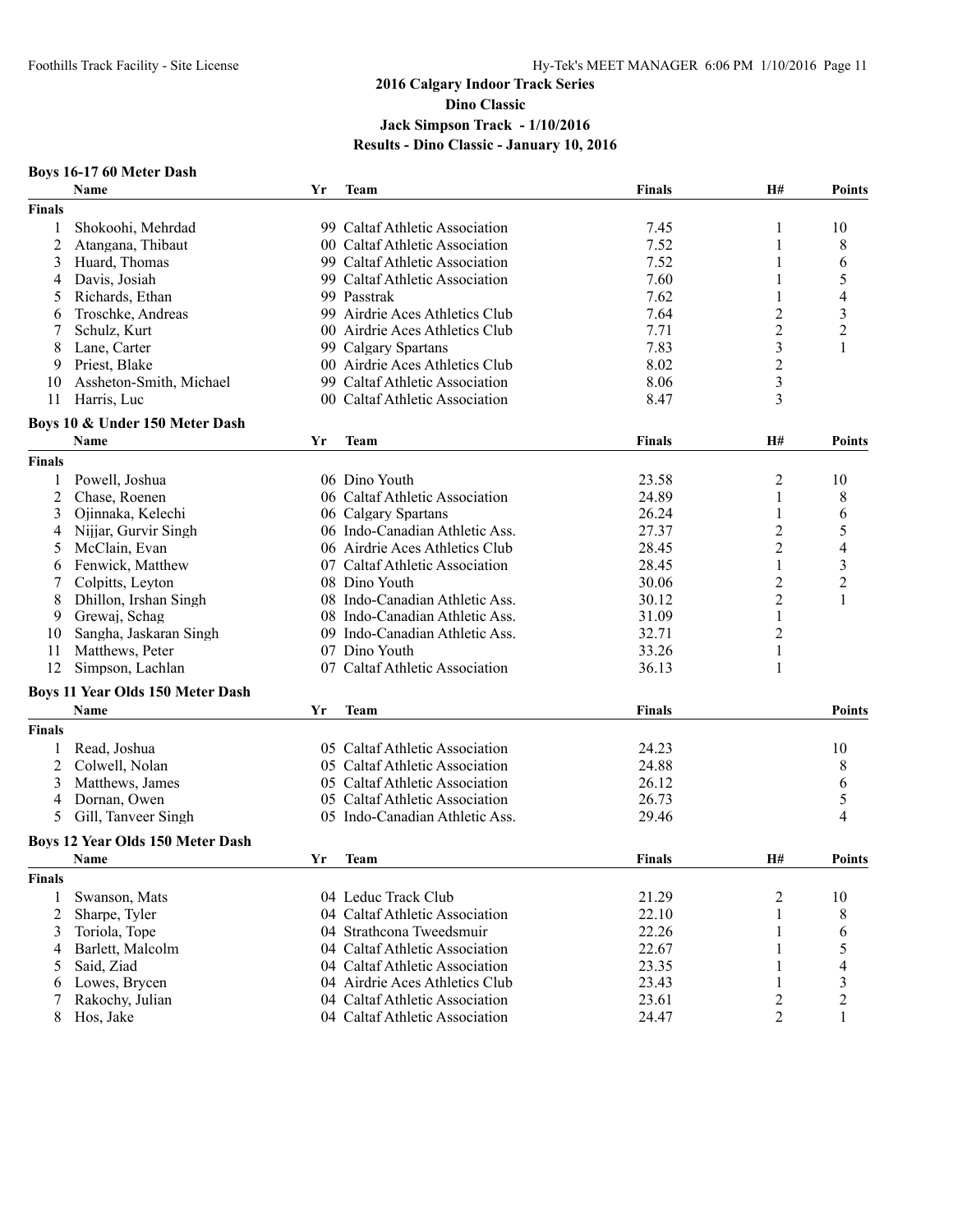#### **Boys 16-17 60 Meter Dash**

|                | Name                                            | $\mathbf{Y}\mathbf{r}$ | <b>Team</b>                                           | <b>Finals</b> | H#               | <b>Points</b>            |
|----------------|-------------------------------------------------|------------------------|-------------------------------------------------------|---------------|------------------|--------------------------|
| <b>Finals</b>  |                                                 |                        |                                                       |               |                  |                          |
| 1              | Shokoohi, Mehrdad                               |                        | 99 Caltaf Athletic Association                        | 7.45          | 1                | 10                       |
| $\overline{2}$ | Atangana, Thibaut                               |                        | 00 Caltaf Athletic Association                        | 7.52          | 1                | 8                        |
| 3              | Huard, Thomas                                   |                        | 99 Caltaf Athletic Association                        | 7.52          | 1                | 6                        |
| 4              | Davis, Josiah                                   |                        | 99 Caltaf Athletic Association                        | 7.60          |                  | 5                        |
| 5              | Richards, Ethan                                 |                        | 99 Passtrak                                           | 7.62          |                  | 4                        |
| 6              | Troschke, Andreas                               |                        | 99 Airdrie Aces Athletics Club                        | 7.64          | 2                | 3                        |
|                | Schulz, Kurt                                    |                        | 00 Airdrie Aces Athletics Club                        | 7.71          | $\overline{c}$   | $\overline{c}$           |
| 8              | Lane, Carter                                    |                        | 99 Calgary Spartans                                   | 7.83          | $\mathfrak{Z}$   | 1                        |
| 9              | Priest, Blake                                   |                        | 00 Airdrie Aces Athletics Club                        | 8.02          | $\overline{c}$   |                          |
| 10             | Assheton-Smith, Michael                         |                        | 99 Caltaf Athletic Association                        | 8.06          | $\mathfrak{Z}$   |                          |
| 11             | Harris, Luc                                     |                        | 00 Caltaf Athletic Association                        | 8.47          | 3                |                          |
|                | Boys 10 & Under 150 Meter Dash                  |                        |                                                       |               |                  |                          |
|                | Name                                            | Yr                     | <b>Team</b>                                           | <b>Finals</b> | H#               | <b>Points</b>            |
| <b>Finals</b>  |                                                 |                        |                                                       |               |                  |                          |
| 1              | Powell, Joshua                                  |                        | 06 Dino Youth                                         | 23.58         | 2                | 10                       |
| 2              | Chase, Roenen                                   |                        | 06 Caltaf Athletic Association                        | 24.89         | $\mathbf{1}$     | 8                        |
| 3              | Ojinnaka, Kelechi                               |                        | 06 Calgary Spartans                                   | 26.24         |                  | 6                        |
| 4              | Nijjar, Gurvir Singh                            |                        | 06 Indo-Canadian Athletic Ass.                        | 27.37         | $\overline{2}$   | 5                        |
| 5              | McClain, Evan                                   |                        | 06 Airdrie Aces Athletics Club                        | 28.45         | $\overline{2}$   | $\overline{\mathcal{A}}$ |
| 6              | Fenwick, Matthew                                |                        | 07 Caltaf Athletic Association                        | 28.45         | 1                | $\overline{\mathbf{3}}$  |
|                | Colpitts, Leyton                                |                        | 08 Dino Youth                                         | 30.06         | $\overline{2}$   | $\overline{c}$           |
| 8              | Dhillon, Irshan Singh                           |                        | 08 Indo-Canadian Athletic Ass.                        | 30.12         | $\boldsymbol{2}$ | $\mathbf{1}$             |
| 9              | Grewaj, Schag                                   |                        | 08 Indo-Canadian Athletic Ass.                        | 31.09         | 1                |                          |
| 10             | Sangha, Jaskaran Singh                          |                        | 09 Indo-Canadian Athletic Ass.                        | 32.71         | $\overline{2}$   |                          |
| 11             | Matthews, Peter                                 |                        | 07 Dino Youth                                         | 33.26         | 1                |                          |
| 12             | Simpson, Lachlan                                |                        | 07 Caltaf Athletic Association                        | 36.13         | 1                |                          |
|                | <b>Boys 11 Year Olds 150 Meter Dash</b>         |                        |                                                       |               |                  |                          |
|                | Name                                            | Yr                     | <b>Team</b>                                           | <b>Finals</b> |                  | <b>Points</b>            |
| <b>Finals</b>  |                                                 |                        |                                                       |               |                  |                          |
| 1              | Read, Joshua                                    |                        | 05 Caltaf Athletic Association                        | 24.23         |                  | 10                       |
| 2              | Colwell, Nolan                                  |                        | 05 Caltaf Athletic Association                        | 24.88         |                  | 8                        |
| 3              | Matthews, James                                 |                        | 05 Caltaf Athletic Association                        | 26.12         |                  |                          |
| 4              | Dornan, Owen                                    |                        | 05 Caltaf Athletic Association                        | 26.73         |                  | 6<br>5                   |
| 5              | Gill, Tanveer Singh                             |                        | 05 Indo-Canadian Athletic Ass.                        | 29.46         |                  | 4                        |
|                |                                                 |                        |                                                       |               |                  |                          |
|                | <b>Boys 12 Year Olds 150 Meter Dash</b><br>Name |                        | <b>Team</b>                                           |               | <b>H#</b>        |                          |
|                |                                                 | Yr                     |                                                       | <b>Finals</b> |                  | <b>Points</b>            |
| <b>Finals</b>  |                                                 |                        |                                                       |               |                  |                          |
| 1              | Swanson, Mats                                   |                        | 04 Leduc Track Club<br>04 Caltaf Athletic Association | 21.29         | $\overline{c}$   | 10                       |
| 2              | Sharpe, Tyler                                   |                        |                                                       | 22.10         | 1                | 8                        |
| 3              | Toriola, Tope                                   |                        | 04 Strathcona Tweedsmuir                              | 22.26         |                  | 6                        |
| 4              | Barlett, Malcolm                                |                        | 04 Caltaf Athletic Association                        | 22.67         |                  | 5                        |
| 5              | Said, Ziad                                      |                        | 04 Caltaf Athletic Association                        | 23.35         |                  | 4                        |
| 6              | Lowes, Brycen                                   |                        | 04 Airdrie Aces Athletics Club                        | 23.43         | 1                | 3                        |
|                | Rakochy, Julian                                 |                        | 04 Caltaf Athletic Association                        | 23.61         | $\overline{c}$   | $\overline{c}$           |
| 8              | Hos, Jake                                       |                        | 04 Caltaf Athletic Association                        | 24.47         | $\overline{2}$   | 1                        |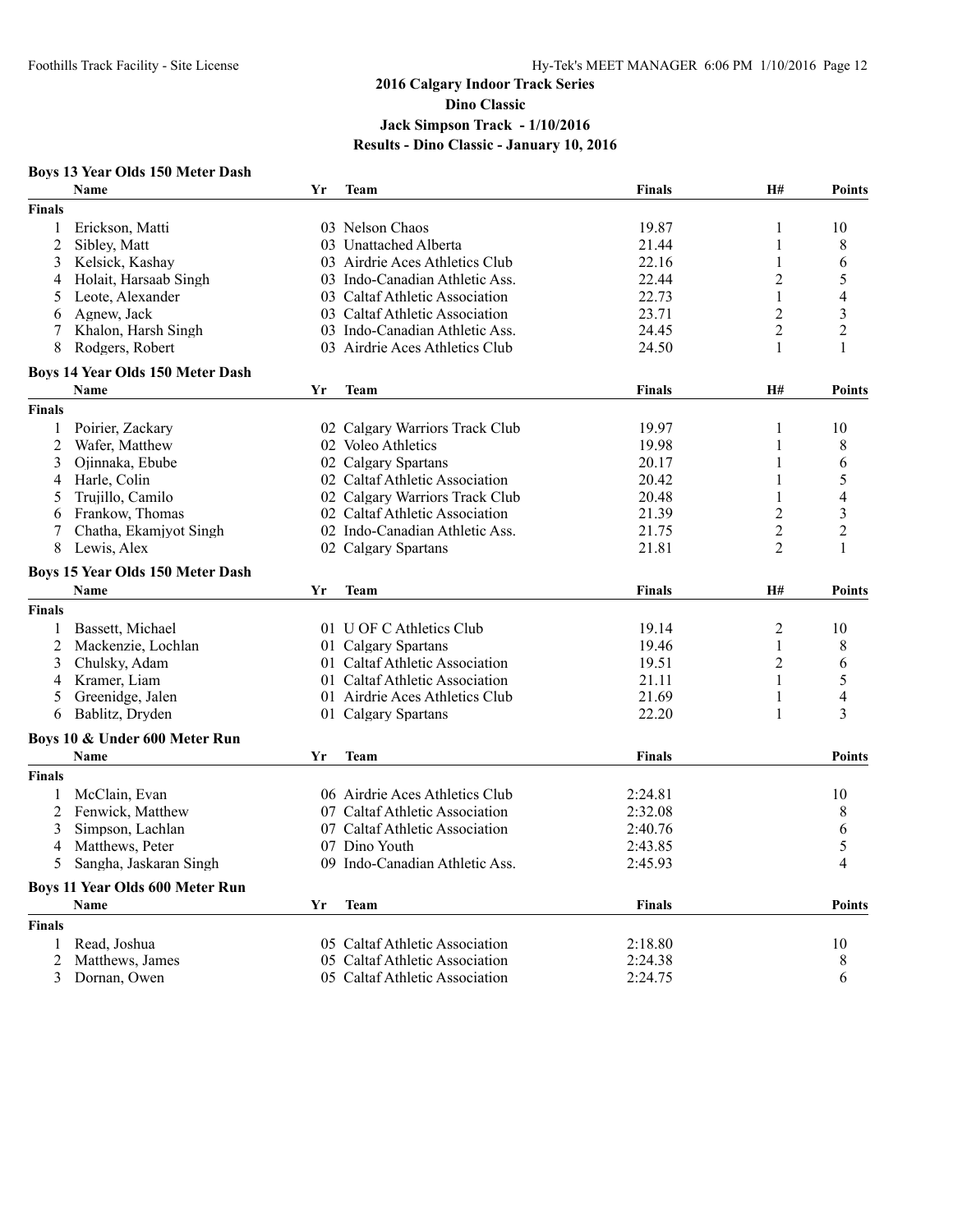#### **Boys 13 Year Olds 150 Meter Dash**

|                | <b>Name</b>                             | Yr | <b>Team</b>                    | <b>Finals</b> | H#             | <b>Points</b>  |
|----------------|-----------------------------------------|----|--------------------------------|---------------|----------------|----------------|
| <b>Finals</b>  |                                         |    |                                |               |                |                |
| $\mathbf{1}$   | Erickson, Matti                         |    | 03 Nelson Chaos                | 19.87         | 1              | 10             |
| $\overline{2}$ | Sibley, Matt                            |    | 03 Unattached Alberta          | 21.44         | 1              | 8              |
| 3              | Kelsick, Kashay                         |    | 03 Airdrie Aces Athletics Club | 22.16         | 1              | 6              |
| 4              | Holait, Harsaab Singh                   |    | 03 Indo-Canadian Athletic Ass. | 22.44         | $\overline{c}$ | 5              |
| 5              | Leote, Alexander                        |    | 03 Caltaf Athletic Association | 22.73         | 1              | $\overline{4}$ |
| 6              | Agnew, Jack                             |    | 03 Caltaf Athletic Association | 23.71         | 2              | 3              |
| 7              | Khalon, Harsh Singh                     |    | 03 Indo-Canadian Athletic Ass. | 24.45         | $\overline{2}$ | $\overline{c}$ |
| 8              | Rodgers, Robert                         |    | 03 Airdrie Aces Athletics Club | 24.50         | 1              | 1              |
|                | <b>Boys 14 Year Olds 150 Meter Dash</b> |    |                                |               |                |                |
|                | <b>Name</b>                             | Yr | <b>Team</b>                    | <b>Finals</b> | H#             | <b>Points</b>  |
| <b>Finals</b>  |                                         |    |                                |               |                |                |
| 1              | Poirier, Zackary                        |    | 02 Calgary Warriors Track Club | 19.97         | 1              | 10             |
| $\overline{c}$ | Wafer, Matthew                          |    | 02 Voleo Athletics             | 19.98         | 1              | 8              |
| 3              | Ojinnaka, Ebube                         |    | 02 Calgary Spartans            | 20.17         | 1              | 6              |
| 4              | Harle, Colin                            |    | 02 Caltaf Athletic Association | 20.42         | 1              | 5              |
| 5              | Trujillo, Camilo                        |    | 02 Calgary Warriors Track Club | 20.48         | 1              | 4              |
| 6              | Frankow, Thomas                         |    | 02 Caltaf Athletic Association | 21.39         | $\overline{2}$ | $\mathfrak{Z}$ |
| 7              | Chatha, Ekamjyot Singh                  |    | 02 Indo-Canadian Athletic Ass. | 21.75         | $\overline{c}$ | $\overline{c}$ |
| 8              | Lewis, Alex                             |    | 02 Calgary Spartans            | 21.81         | $\overline{2}$ | 1              |
|                | <b>Boys 15 Year Olds 150 Meter Dash</b> |    |                                |               |                |                |
|                | Name                                    | Yr | <b>Team</b>                    | <b>Finals</b> | H#             | <b>Points</b>  |
| <b>Finals</b>  |                                         |    |                                |               |                |                |
| 1              | Bassett, Michael                        |    | 01 U OF C Athletics Club       | 19.14         | $\overline{c}$ | 10             |
| $\overline{c}$ | Mackenzie, Lochlan                      |    | 01 Calgary Spartans            | 19.46         | 1              | 8              |
| 3              | Chulsky, Adam                           |    | 01 Caltaf Athletic Association | 19.51         | 2              | 6              |
| 4              | Kramer, Liam                            |    | 01 Caltaf Athletic Association | 21.11         | 1              | 5              |
| 5              | Greenidge, Jalen                        |    | 01 Airdrie Aces Athletics Club | 21.69         | 1              | 4              |
| 6              | Bablitz, Dryden                         |    | 01 Calgary Spartans            | 22.20         | 1              | 3              |
|                |                                         |    |                                |               |                |                |
|                | Boys 10 & Under 600 Meter Run           |    |                                |               |                |                |
|                | Name                                    | Yr | <b>Team</b>                    | <b>Finals</b> |                | <b>Points</b>  |
| <b>Finals</b>  |                                         |    |                                |               |                |                |
| 1              | McClain, Evan                           |    | 06 Airdrie Aces Athletics Club | 2:24.81       |                | 10             |
| $\overline{2}$ | Fenwick, Matthew                        |    | 07 Caltaf Athletic Association | 2:32.08       |                | $\,8\,$        |
| 3              | Simpson, Lachlan                        |    | 07 Caltaf Athletic Association | 2:40.76       |                | 6              |
| 4              | Matthews, Peter                         |    | 07 Dino Youth                  | 2:43.85       |                | 5              |
| 5              | Sangha, Jaskaran Singh                  |    | 09 Indo-Canadian Athletic Ass. | 2:45.93       |                | $\overline{4}$ |
|                | <b>Boys 11 Year Olds 600 Meter Run</b>  |    |                                |               |                |                |
|                | <b>Name</b>                             | Yr | Team                           | <b>Finals</b> |                | <b>Points</b>  |
| <b>Finals</b>  |                                         |    |                                |               |                |                |
| 1              | Read, Joshua                            |    | 05 Caltaf Athletic Association | 2:18.80       |                | 10             |
| 2              | Matthews, James                         |    | 05 Caltaf Athletic Association | 2:24.38       |                | 8              |
| 3              | Dornan, Owen                            |    | 05 Caltaf Athletic Association | 2:24.75       |                | 6              |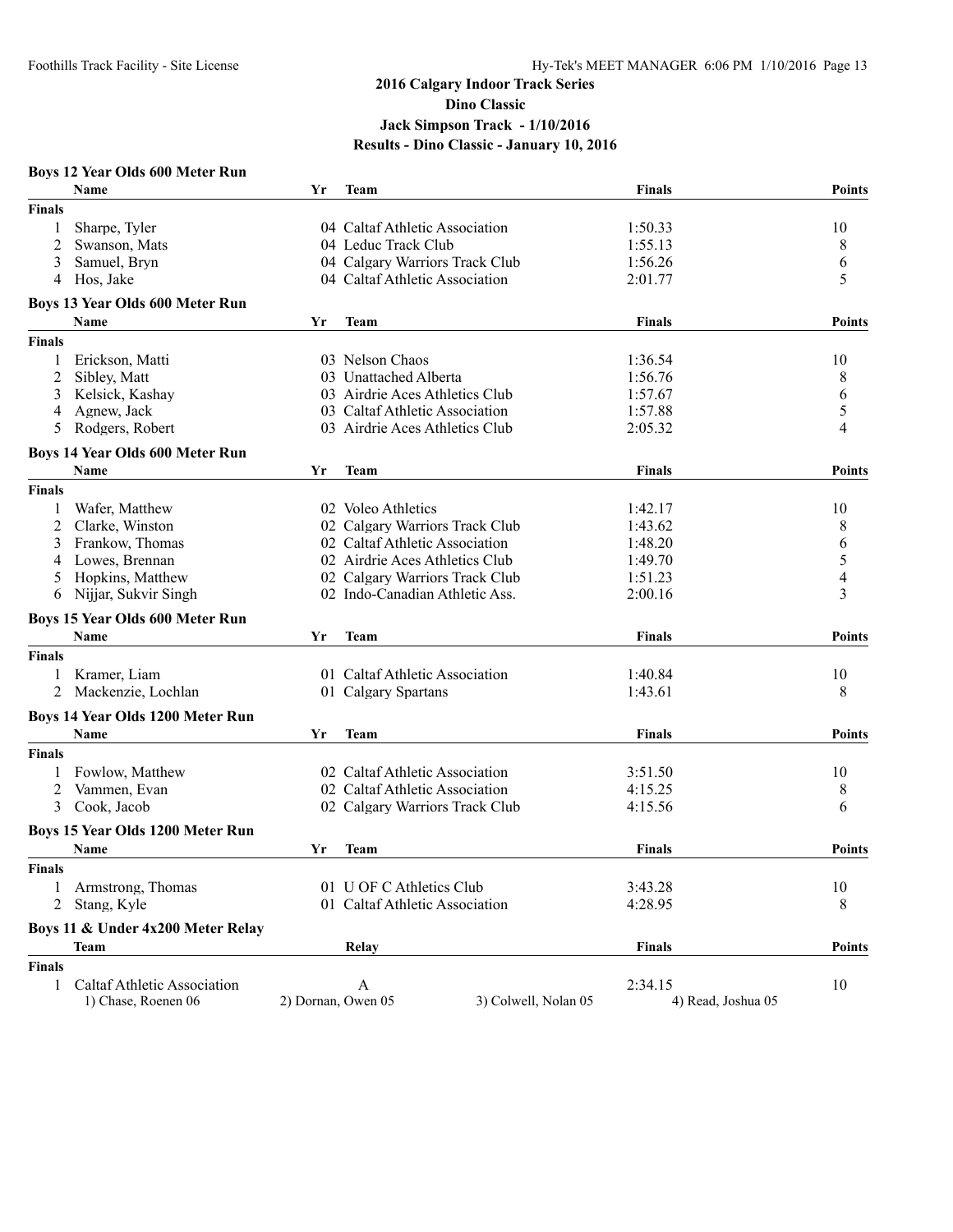| Name<br>Yr<br><b>Team</b><br><b>Finals</b><br><b>Points</b><br><b>Finals</b><br>Sharpe, Tyler<br>04 Caltaf Athletic Association<br>1:50.33<br>10<br>1<br>2<br>8<br>Swanson, Mats<br>04 Leduc Track Club<br>1:55.13<br>04 Calgary Warriors Track Club<br>1:56.26<br>6<br>3<br>Samuel, Bryn<br>5<br>Hos, Jake<br>04 Caltaf Athletic Association<br>2:01.77<br>4<br><b>Boys 13 Year Olds 600 Meter Run</b><br><b>Points</b><br>Name<br>Yr<br><b>Team</b><br><b>Finals</b><br><b>Finals</b><br>03 Nelson Chaos<br>1:36.54<br>10<br>1<br>Erickson, Matti<br>8<br>2<br>Sibley, Matt<br>03 Unattached Alberta<br>1:56.76<br>03 Airdrie Aces Athletics Club<br>1:57.67<br>6<br>3<br>Kelsick, Kashay<br>5<br>Agnew, Jack<br>03 Caltaf Athletic Association<br>1:57.88<br>4<br>$\overline{4}$<br>Rodgers, Robert<br>03 Airdrie Aces Athletics Club<br>5<br>2:05.32<br><b>Boys 14 Year Olds 600 Meter Run</b><br>Yr<br><b>Points</b><br>Name<br><b>Team</b><br><b>Finals</b><br><b>Finals</b><br>1:42.17<br>Wafer, Matthew<br>02 Voleo Athletics<br>10<br>1<br>8<br>2<br>02 Calgary Warriors Track Club<br>1:43.62<br>Clarke, Winston<br>02 Caltaf Athletic Association<br>Frankow, Thomas<br>1:48.20<br>6<br>3<br>5<br>Lowes, Brennan<br>02 Airdrie Aces Athletics Club<br>1:49.70<br>4<br>$\overline{4}$<br>Hopkins, Matthew<br>02 Calgary Warriors Track Club<br>1:51.23<br>5<br>3<br>Nijjar, Sukvir Singh<br>02 Indo-Canadian Athletic Ass.<br>2:00.16<br>6<br><b>Boys 15 Year Olds 600 Meter Run</b><br>Name<br><b>Team</b><br>Yr<br><b>Finals</b><br><b>Points</b><br><b>Finals</b><br>Kramer, Liam<br>01 Caltaf Athletic Association<br>1:40.84<br>10<br>1<br>8<br>2<br>Mackenzie, Lochlan<br>01 Calgary Spartans<br>1:43.61<br><b>Boys 14 Year Olds 1200 Meter Run</b><br><b>Name</b><br><b>Team</b><br><b>Finals</b><br>Yr<br><b>Finals</b><br>02 Caltaf Athletic Association<br>Fowlow, Matthew<br>3:51.50<br>10<br>1<br>Vammen, Evan<br>02 Caltaf Athletic Association<br>2<br>4:15.25<br>8<br>3<br>Cook, Jacob<br>02 Calgary Warriors Track Club<br>6<br>4:15.56<br><b>Boys 15 Year Olds 1200 Meter Run</b><br>Name<br>Yr<br><b>Team</b><br><b>Finals</b><br><b>Points</b><br><b>Finals</b><br>01 U OF C Athletics Club<br>Armstrong, Thomas<br>3:43.28<br>10<br>1<br>01 Caltaf Athletic Association<br>8<br>2<br>Stang, Kyle<br>4:28.95<br>Boys 11 & Under 4x200 Meter Relay<br>Relay<br><b>Finals</b><br><b>Points</b><br>Team<br><b>Finals</b><br>2:34.15<br><b>Caltaf Athletic Association</b><br>10<br>1<br>A<br>3) Colwell, Nolan 05<br>1) Chase, Roenen 06<br>2) Dornan, Owen 05<br>4) Read, Joshua 05 | <b>Boys 12 Year Olds 600 Meter Run</b> |  |               |
|----------------------------------------------------------------------------------------------------------------------------------------------------------------------------------------------------------------------------------------------------------------------------------------------------------------------------------------------------------------------------------------------------------------------------------------------------------------------------------------------------------------------------------------------------------------------------------------------------------------------------------------------------------------------------------------------------------------------------------------------------------------------------------------------------------------------------------------------------------------------------------------------------------------------------------------------------------------------------------------------------------------------------------------------------------------------------------------------------------------------------------------------------------------------------------------------------------------------------------------------------------------------------------------------------------------------------------------------------------------------------------------------------------------------------------------------------------------------------------------------------------------------------------------------------------------------------------------------------------------------------------------------------------------------------------------------------------------------------------------------------------------------------------------------------------------------------------------------------------------------------------------------------------------------------------------------------------------------------------------------------------------------------------------------------------------------------------------------------------------------------------------------------------------------------------------------------------------------------------------------------------------------------------------------------------------------------------------------------------------------------------------------------------------------------------------------------------------------------------------------------------------------------------------------------------------------------------------------------------------|----------------------------------------|--|---------------|
|                                                                                                                                                                                                                                                                                                                                                                                                                                                                                                                                                                                                                                                                                                                                                                                                                                                                                                                                                                                                                                                                                                                                                                                                                                                                                                                                                                                                                                                                                                                                                                                                                                                                                                                                                                                                                                                                                                                                                                                                                                                                                                                                                                                                                                                                                                                                                                                                                                                                                                                                                                                                                |                                        |  |               |
|                                                                                                                                                                                                                                                                                                                                                                                                                                                                                                                                                                                                                                                                                                                                                                                                                                                                                                                                                                                                                                                                                                                                                                                                                                                                                                                                                                                                                                                                                                                                                                                                                                                                                                                                                                                                                                                                                                                                                                                                                                                                                                                                                                                                                                                                                                                                                                                                                                                                                                                                                                                                                |                                        |  |               |
|                                                                                                                                                                                                                                                                                                                                                                                                                                                                                                                                                                                                                                                                                                                                                                                                                                                                                                                                                                                                                                                                                                                                                                                                                                                                                                                                                                                                                                                                                                                                                                                                                                                                                                                                                                                                                                                                                                                                                                                                                                                                                                                                                                                                                                                                                                                                                                                                                                                                                                                                                                                                                |                                        |  |               |
|                                                                                                                                                                                                                                                                                                                                                                                                                                                                                                                                                                                                                                                                                                                                                                                                                                                                                                                                                                                                                                                                                                                                                                                                                                                                                                                                                                                                                                                                                                                                                                                                                                                                                                                                                                                                                                                                                                                                                                                                                                                                                                                                                                                                                                                                                                                                                                                                                                                                                                                                                                                                                |                                        |  |               |
|                                                                                                                                                                                                                                                                                                                                                                                                                                                                                                                                                                                                                                                                                                                                                                                                                                                                                                                                                                                                                                                                                                                                                                                                                                                                                                                                                                                                                                                                                                                                                                                                                                                                                                                                                                                                                                                                                                                                                                                                                                                                                                                                                                                                                                                                                                                                                                                                                                                                                                                                                                                                                |                                        |  |               |
|                                                                                                                                                                                                                                                                                                                                                                                                                                                                                                                                                                                                                                                                                                                                                                                                                                                                                                                                                                                                                                                                                                                                                                                                                                                                                                                                                                                                                                                                                                                                                                                                                                                                                                                                                                                                                                                                                                                                                                                                                                                                                                                                                                                                                                                                                                                                                                                                                                                                                                                                                                                                                |                                        |  |               |
|                                                                                                                                                                                                                                                                                                                                                                                                                                                                                                                                                                                                                                                                                                                                                                                                                                                                                                                                                                                                                                                                                                                                                                                                                                                                                                                                                                                                                                                                                                                                                                                                                                                                                                                                                                                                                                                                                                                                                                                                                                                                                                                                                                                                                                                                                                                                                                                                                                                                                                                                                                                                                |                                        |  |               |
|                                                                                                                                                                                                                                                                                                                                                                                                                                                                                                                                                                                                                                                                                                                                                                                                                                                                                                                                                                                                                                                                                                                                                                                                                                                                                                                                                                                                                                                                                                                                                                                                                                                                                                                                                                                                                                                                                                                                                                                                                                                                                                                                                                                                                                                                                                                                                                                                                                                                                                                                                                                                                |                                        |  |               |
|                                                                                                                                                                                                                                                                                                                                                                                                                                                                                                                                                                                                                                                                                                                                                                                                                                                                                                                                                                                                                                                                                                                                                                                                                                                                                                                                                                                                                                                                                                                                                                                                                                                                                                                                                                                                                                                                                                                                                                                                                                                                                                                                                                                                                                                                                                                                                                                                                                                                                                                                                                                                                |                                        |  |               |
|                                                                                                                                                                                                                                                                                                                                                                                                                                                                                                                                                                                                                                                                                                                                                                                                                                                                                                                                                                                                                                                                                                                                                                                                                                                                                                                                                                                                                                                                                                                                                                                                                                                                                                                                                                                                                                                                                                                                                                                                                                                                                                                                                                                                                                                                                                                                                                                                                                                                                                                                                                                                                |                                        |  |               |
|                                                                                                                                                                                                                                                                                                                                                                                                                                                                                                                                                                                                                                                                                                                                                                                                                                                                                                                                                                                                                                                                                                                                                                                                                                                                                                                                                                                                                                                                                                                                                                                                                                                                                                                                                                                                                                                                                                                                                                                                                                                                                                                                                                                                                                                                                                                                                                                                                                                                                                                                                                                                                |                                        |  |               |
|                                                                                                                                                                                                                                                                                                                                                                                                                                                                                                                                                                                                                                                                                                                                                                                                                                                                                                                                                                                                                                                                                                                                                                                                                                                                                                                                                                                                                                                                                                                                                                                                                                                                                                                                                                                                                                                                                                                                                                                                                                                                                                                                                                                                                                                                                                                                                                                                                                                                                                                                                                                                                |                                        |  |               |
|                                                                                                                                                                                                                                                                                                                                                                                                                                                                                                                                                                                                                                                                                                                                                                                                                                                                                                                                                                                                                                                                                                                                                                                                                                                                                                                                                                                                                                                                                                                                                                                                                                                                                                                                                                                                                                                                                                                                                                                                                                                                                                                                                                                                                                                                                                                                                                                                                                                                                                                                                                                                                |                                        |  |               |
|                                                                                                                                                                                                                                                                                                                                                                                                                                                                                                                                                                                                                                                                                                                                                                                                                                                                                                                                                                                                                                                                                                                                                                                                                                                                                                                                                                                                                                                                                                                                                                                                                                                                                                                                                                                                                                                                                                                                                                                                                                                                                                                                                                                                                                                                                                                                                                                                                                                                                                                                                                                                                |                                        |  |               |
|                                                                                                                                                                                                                                                                                                                                                                                                                                                                                                                                                                                                                                                                                                                                                                                                                                                                                                                                                                                                                                                                                                                                                                                                                                                                                                                                                                                                                                                                                                                                                                                                                                                                                                                                                                                                                                                                                                                                                                                                                                                                                                                                                                                                                                                                                                                                                                                                                                                                                                                                                                                                                |                                        |  |               |
|                                                                                                                                                                                                                                                                                                                                                                                                                                                                                                                                                                                                                                                                                                                                                                                                                                                                                                                                                                                                                                                                                                                                                                                                                                                                                                                                                                                                                                                                                                                                                                                                                                                                                                                                                                                                                                                                                                                                                                                                                                                                                                                                                                                                                                                                                                                                                                                                                                                                                                                                                                                                                |                                        |  |               |
|                                                                                                                                                                                                                                                                                                                                                                                                                                                                                                                                                                                                                                                                                                                                                                                                                                                                                                                                                                                                                                                                                                                                                                                                                                                                                                                                                                                                                                                                                                                                                                                                                                                                                                                                                                                                                                                                                                                                                                                                                                                                                                                                                                                                                                                                                                                                                                                                                                                                                                                                                                                                                |                                        |  |               |
|                                                                                                                                                                                                                                                                                                                                                                                                                                                                                                                                                                                                                                                                                                                                                                                                                                                                                                                                                                                                                                                                                                                                                                                                                                                                                                                                                                                                                                                                                                                                                                                                                                                                                                                                                                                                                                                                                                                                                                                                                                                                                                                                                                                                                                                                                                                                                                                                                                                                                                                                                                                                                |                                        |  |               |
|                                                                                                                                                                                                                                                                                                                                                                                                                                                                                                                                                                                                                                                                                                                                                                                                                                                                                                                                                                                                                                                                                                                                                                                                                                                                                                                                                                                                                                                                                                                                                                                                                                                                                                                                                                                                                                                                                                                                                                                                                                                                                                                                                                                                                                                                                                                                                                                                                                                                                                                                                                                                                |                                        |  |               |
|                                                                                                                                                                                                                                                                                                                                                                                                                                                                                                                                                                                                                                                                                                                                                                                                                                                                                                                                                                                                                                                                                                                                                                                                                                                                                                                                                                                                                                                                                                                                                                                                                                                                                                                                                                                                                                                                                                                                                                                                                                                                                                                                                                                                                                                                                                                                                                                                                                                                                                                                                                                                                |                                        |  |               |
|                                                                                                                                                                                                                                                                                                                                                                                                                                                                                                                                                                                                                                                                                                                                                                                                                                                                                                                                                                                                                                                                                                                                                                                                                                                                                                                                                                                                                                                                                                                                                                                                                                                                                                                                                                                                                                                                                                                                                                                                                                                                                                                                                                                                                                                                                                                                                                                                                                                                                                                                                                                                                |                                        |  |               |
|                                                                                                                                                                                                                                                                                                                                                                                                                                                                                                                                                                                                                                                                                                                                                                                                                                                                                                                                                                                                                                                                                                                                                                                                                                                                                                                                                                                                                                                                                                                                                                                                                                                                                                                                                                                                                                                                                                                                                                                                                                                                                                                                                                                                                                                                                                                                                                                                                                                                                                                                                                                                                |                                        |  |               |
|                                                                                                                                                                                                                                                                                                                                                                                                                                                                                                                                                                                                                                                                                                                                                                                                                                                                                                                                                                                                                                                                                                                                                                                                                                                                                                                                                                                                                                                                                                                                                                                                                                                                                                                                                                                                                                                                                                                                                                                                                                                                                                                                                                                                                                                                                                                                                                                                                                                                                                                                                                                                                |                                        |  |               |
|                                                                                                                                                                                                                                                                                                                                                                                                                                                                                                                                                                                                                                                                                                                                                                                                                                                                                                                                                                                                                                                                                                                                                                                                                                                                                                                                                                                                                                                                                                                                                                                                                                                                                                                                                                                                                                                                                                                                                                                                                                                                                                                                                                                                                                                                                                                                                                                                                                                                                                                                                                                                                |                                        |  |               |
|                                                                                                                                                                                                                                                                                                                                                                                                                                                                                                                                                                                                                                                                                                                                                                                                                                                                                                                                                                                                                                                                                                                                                                                                                                                                                                                                                                                                                                                                                                                                                                                                                                                                                                                                                                                                                                                                                                                                                                                                                                                                                                                                                                                                                                                                                                                                                                                                                                                                                                                                                                                                                |                                        |  |               |
|                                                                                                                                                                                                                                                                                                                                                                                                                                                                                                                                                                                                                                                                                                                                                                                                                                                                                                                                                                                                                                                                                                                                                                                                                                                                                                                                                                                                                                                                                                                                                                                                                                                                                                                                                                                                                                                                                                                                                                                                                                                                                                                                                                                                                                                                                                                                                                                                                                                                                                                                                                                                                |                                        |  |               |
|                                                                                                                                                                                                                                                                                                                                                                                                                                                                                                                                                                                                                                                                                                                                                                                                                                                                                                                                                                                                                                                                                                                                                                                                                                                                                                                                                                                                                                                                                                                                                                                                                                                                                                                                                                                                                                                                                                                                                                                                                                                                                                                                                                                                                                                                                                                                                                                                                                                                                                                                                                                                                |                                        |  |               |
|                                                                                                                                                                                                                                                                                                                                                                                                                                                                                                                                                                                                                                                                                                                                                                                                                                                                                                                                                                                                                                                                                                                                                                                                                                                                                                                                                                                                                                                                                                                                                                                                                                                                                                                                                                                                                                                                                                                                                                                                                                                                                                                                                                                                                                                                                                                                                                                                                                                                                                                                                                                                                |                                        |  |               |
|                                                                                                                                                                                                                                                                                                                                                                                                                                                                                                                                                                                                                                                                                                                                                                                                                                                                                                                                                                                                                                                                                                                                                                                                                                                                                                                                                                                                                                                                                                                                                                                                                                                                                                                                                                                                                                                                                                                                                                                                                                                                                                                                                                                                                                                                                                                                                                                                                                                                                                                                                                                                                |                                        |  |               |
|                                                                                                                                                                                                                                                                                                                                                                                                                                                                                                                                                                                                                                                                                                                                                                                                                                                                                                                                                                                                                                                                                                                                                                                                                                                                                                                                                                                                                                                                                                                                                                                                                                                                                                                                                                                                                                                                                                                                                                                                                                                                                                                                                                                                                                                                                                                                                                                                                                                                                                                                                                                                                |                                        |  |               |
|                                                                                                                                                                                                                                                                                                                                                                                                                                                                                                                                                                                                                                                                                                                                                                                                                                                                                                                                                                                                                                                                                                                                                                                                                                                                                                                                                                                                                                                                                                                                                                                                                                                                                                                                                                                                                                                                                                                                                                                                                                                                                                                                                                                                                                                                                                                                                                                                                                                                                                                                                                                                                |                                        |  |               |
|                                                                                                                                                                                                                                                                                                                                                                                                                                                                                                                                                                                                                                                                                                                                                                                                                                                                                                                                                                                                                                                                                                                                                                                                                                                                                                                                                                                                                                                                                                                                                                                                                                                                                                                                                                                                                                                                                                                                                                                                                                                                                                                                                                                                                                                                                                                                                                                                                                                                                                                                                                                                                |                                        |  | <b>Points</b> |
|                                                                                                                                                                                                                                                                                                                                                                                                                                                                                                                                                                                                                                                                                                                                                                                                                                                                                                                                                                                                                                                                                                                                                                                                                                                                                                                                                                                                                                                                                                                                                                                                                                                                                                                                                                                                                                                                                                                                                                                                                                                                                                                                                                                                                                                                                                                                                                                                                                                                                                                                                                                                                |                                        |  |               |
|                                                                                                                                                                                                                                                                                                                                                                                                                                                                                                                                                                                                                                                                                                                                                                                                                                                                                                                                                                                                                                                                                                                                                                                                                                                                                                                                                                                                                                                                                                                                                                                                                                                                                                                                                                                                                                                                                                                                                                                                                                                                                                                                                                                                                                                                                                                                                                                                                                                                                                                                                                                                                |                                        |  |               |
|                                                                                                                                                                                                                                                                                                                                                                                                                                                                                                                                                                                                                                                                                                                                                                                                                                                                                                                                                                                                                                                                                                                                                                                                                                                                                                                                                                                                                                                                                                                                                                                                                                                                                                                                                                                                                                                                                                                                                                                                                                                                                                                                                                                                                                                                                                                                                                                                                                                                                                                                                                                                                |                                        |  |               |
|                                                                                                                                                                                                                                                                                                                                                                                                                                                                                                                                                                                                                                                                                                                                                                                                                                                                                                                                                                                                                                                                                                                                                                                                                                                                                                                                                                                                                                                                                                                                                                                                                                                                                                                                                                                                                                                                                                                                                                                                                                                                                                                                                                                                                                                                                                                                                                                                                                                                                                                                                                                                                |                                        |  |               |
|                                                                                                                                                                                                                                                                                                                                                                                                                                                                                                                                                                                                                                                                                                                                                                                                                                                                                                                                                                                                                                                                                                                                                                                                                                                                                                                                                                                                                                                                                                                                                                                                                                                                                                                                                                                                                                                                                                                                                                                                                                                                                                                                                                                                                                                                                                                                                                                                                                                                                                                                                                                                                |                                        |  |               |
|                                                                                                                                                                                                                                                                                                                                                                                                                                                                                                                                                                                                                                                                                                                                                                                                                                                                                                                                                                                                                                                                                                                                                                                                                                                                                                                                                                                                                                                                                                                                                                                                                                                                                                                                                                                                                                                                                                                                                                                                                                                                                                                                                                                                                                                                                                                                                                                                                                                                                                                                                                                                                |                                        |  |               |
|                                                                                                                                                                                                                                                                                                                                                                                                                                                                                                                                                                                                                                                                                                                                                                                                                                                                                                                                                                                                                                                                                                                                                                                                                                                                                                                                                                                                                                                                                                                                                                                                                                                                                                                                                                                                                                                                                                                                                                                                                                                                                                                                                                                                                                                                                                                                                                                                                                                                                                                                                                                                                |                                        |  |               |
|                                                                                                                                                                                                                                                                                                                                                                                                                                                                                                                                                                                                                                                                                                                                                                                                                                                                                                                                                                                                                                                                                                                                                                                                                                                                                                                                                                                                                                                                                                                                                                                                                                                                                                                                                                                                                                                                                                                                                                                                                                                                                                                                                                                                                                                                                                                                                                                                                                                                                                                                                                                                                |                                        |  |               |
|                                                                                                                                                                                                                                                                                                                                                                                                                                                                                                                                                                                                                                                                                                                                                                                                                                                                                                                                                                                                                                                                                                                                                                                                                                                                                                                                                                                                                                                                                                                                                                                                                                                                                                                                                                                                                                                                                                                                                                                                                                                                                                                                                                                                                                                                                                                                                                                                                                                                                                                                                                                                                |                                        |  |               |
|                                                                                                                                                                                                                                                                                                                                                                                                                                                                                                                                                                                                                                                                                                                                                                                                                                                                                                                                                                                                                                                                                                                                                                                                                                                                                                                                                                                                                                                                                                                                                                                                                                                                                                                                                                                                                                                                                                                                                                                                                                                                                                                                                                                                                                                                                                                                                                                                                                                                                                                                                                                                                |                                        |  |               |
|                                                                                                                                                                                                                                                                                                                                                                                                                                                                                                                                                                                                                                                                                                                                                                                                                                                                                                                                                                                                                                                                                                                                                                                                                                                                                                                                                                                                                                                                                                                                                                                                                                                                                                                                                                                                                                                                                                                                                                                                                                                                                                                                                                                                                                                                                                                                                                                                                                                                                                                                                                                                                |                                        |  |               |
|                                                                                                                                                                                                                                                                                                                                                                                                                                                                                                                                                                                                                                                                                                                                                                                                                                                                                                                                                                                                                                                                                                                                                                                                                                                                                                                                                                                                                                                                                                                                                                                                                                                                                                                                                                                                                                                                                                                                                                                                                                                                                                                                                                                                                                                                                                                                                                                                                                                                                                                                                                                                                |                                        |  |               |
|                                                                                                                                                                                                                                                                                                                                                                                                                                                                                                                                                                                                                                                                                                                                                                                                                                                                                                                                                                                                                                                                                                                                                                                                                                                                                                                                                                                                                                                                                                                                                                                                                                                                                                                                                                                                                                                                                                                                                                                                                                                                                                                                                                                                                                                                                                                                                                                                                                                                                                                                                                                                                |                                        |  |               |
|                                                                                                                                                                                                                                                                                                                                                                                                                                                                                                                                                                                                                                                                                                                                                                                                                                                                                                                                                                                                                                                                                                                                                                                                                                                                                                                                                                                                                                                                                                                                                                                                                                                                                                                                                                                                                                                                                                                                                                                                                                                                                                                                                                                                                                                                                                                                                                                                                                                                                                                                                                                                                |                                        |  |               |
|                                                                                                                                                                                                                                                                                                                                                                                                                                                                                                                                                                                                                                                                                                                                                                                                                                                                                                                                                                                                                                                                                                                                                                                                                                                                                                                                                                                                                                                                                                                                                                                                                                                                                                                                                                                                                                                                                                                                                                                                                                                                                                                                                                                                                                                                                                                                                                                                                                                                                                                                                                                                                |                                        |  |               |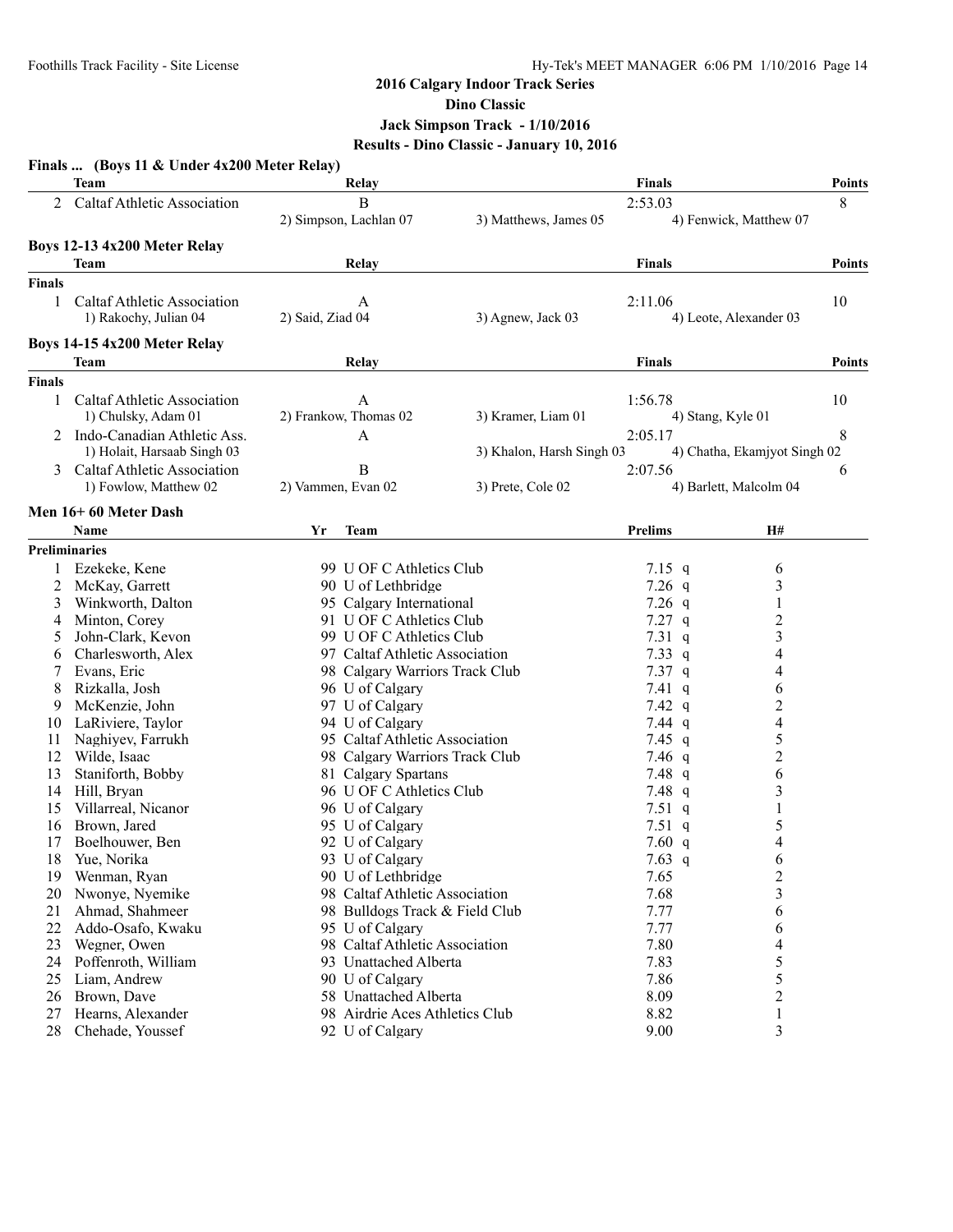# **2016 Calgary Indoor Track Series Dino Classic**

**Jack Simpson Track - 1/10/2016**

# **Results - Dino Classic - January 10, 2016**

|               | Finals  (Boys 11 & Under 4x200 Meter Relay)          |                                |                           |                   |                              |               |
|---------------|------------------------------------------------------|--------------------------------|---------------------------|-------------------|------------------------------|---------------|
|               | Team                                                 | Relay                          |                           | <b>Finals</b>     |                              | <b>Points</b> |
|               | 2 Caltaf Athletic Association                        | B<br>2) Simpson, Lachlan 07    | 3) Matthews, James 05     | 2:53.03           | 4) Fenwick, Matthew 07       | 8             |
|               | Boys 12-13 4x200 Meter Relay                         |                                |                           |                   |                              |               |
|               | Team                                                 | Relay                          |                           | <b>Finals</b>     |                              | <b>Points</b> |
| <b>Finals</b> |                                                      |                                |                           |                   |                              |               |
| 1             | Caltaf Athletic Association<br>1) Rakochy, Julian 04 | A<br>2) Said, Ziad 04          | 3) Agnew, Jack 03         | 2:11.06           | 4) Leote, Alexander 03       | 10            |
|               |                                                      |                                |                           |                   |                              |               |
|               | Boys 14-15 4x200 Meter Relay                         |                                |                           |                   |                              |               |
|               | Team                                                 | Relay                          |                           | <b>Finals</b>     |                              | <b>Points</b> |
| <b>Finals</b> |                                                      |                                |                           |                   |                              |               |
| 1             | Caltaf Athletic Association                          | A                              |                           | 1:56.78           |                              | 10            |
|               | 1) Chulsky, Adam 01                                  | 2) Frankow, Thomas 02          | 3) Kramer, Liam 01        | 4) Stang, Kyle 01 |                              |               |
|               | 2 Indo-Canadian Athletic Ass.                        | A                              |                           | 2:05.17           |                              | 8             |
|               | 1) Holait, Harsaab Singh 03                          |                                | 3) Khalon, Harsh Singh 03 |                   | 4) Chatha, Ekamjyot Singh 02 |               |
| 3             | Caltaf Athletic Association                          | B                              |                           | 2:07.56           |                              | 6             |
|               | 1) Fowlow, Matthew 02                                | 2) Vammen, Evan 02             | 3) Prete, Cole 02         |                   | 4) Barlett, Malcolm 04       |               |
|               | Men 16+60 Meter Dash                                 |                                |                           |                   |                              |               |
|               | Name                                                 | Yr<br>Team                     |                           | <b>Prelims</b>    | H#                           |               |
|               | <b>Preliminaries</b>                                 |                                |                           |                   |                              |               |
| 1             | Ezekeke, Kene                                        | 99 U OF C Athletics Club       |                           | 7.15 $q$          | 6                            |               |
| 2             | McKay, Garrett                                       | 90 U of Lethbridge             |                           | $7.26$ q          | 3                            |               |
| 3             | Winkworth, Dalton                                    | 95 Calgary International       |                           | $7.26$ q          | $\mathbf{1}$                 |               |
| 4             | Minton, Corey                                        | 91 U OF C Athletics Club       |                           | $7.27$ q          | $\overline{c}$               |               |
| 5             | John-Clark, Kevon                                    | 99 U OF C Athletics Club       |                           | $7.31\ q$         | $\mathfrak{Z}$               |               |
| 6             | Charlesworth, Alex                                   | 97 Caltaf Athletic Association |                           | 7.33 $q$          | 4                            |               |
| 7             | Evans, Eric                                          | 98 Calgary Warriors Track Club |                           | $7.37$ q          | 4                            |               |
| 8             | Rizkalla, Josh                                       | 96 U of Calgary                |                           | $7.41 \text{ q}$  | 6                            |               |
| 9             | McKenzie, John                                       | 97 U of Calgary                |                           | 7.42 $q$          | $\overline{c}$               |               |
| 10            | LaRiviere, Taylor                                    | 94 U of Calgary                |                           | $7.44$ q          | $\overline{\mathcal{L}}$     |               |
| 11            | Naghiyev, Farrukh                                    | 95 Caltaf Athletic Association |                           | 7.45 $q$          | 5                            |               |
| 12            | Wilde, Isaac                                         | 98 Calgary Warriors Track Club |                           | 7.46 $q$          | $\overline{c}$               |               |
| 13            | Staniforth, Bobby                                    | 81 Calgary Spartans            |                           | 7.48 q            | 6                            |               |
| 14            | Hill, Bryan                                          | 96 U OF C Athletics Club       |                           | 7.48 $q$          | 3                            |               |
| 15            | Villarreal, Nicanor                                  | 96 U of Calgary                |                           | 7.51 $q$          | 1                            |               |
| 16            | Brown, Jared                                         | 95 U of Calgary                |                           | 7.51q             | 5                            |               |
| 17            | Boelhouwer, Ben                                      | 92 U of Calgary                |                           | 7.60 $q$          | 4                            |               |
| 18            | Yue, Norika                                          | 93 U of Calgary                |                           | 7.63 $q$          | 6                            |               |
| 19            | Wenman, Ryan                                         | 90 U of Lethbridge             |                           | 7.65              | $\overline{c}$               |               |
| 20            | Nwonye, Nyemike                                      | 98 Caltaf Athletic Association |                           | 7.68              | 3                            |               |
| 21            | Ahmad, Shahmeer                                      | 98 Bulldogs Track & Field Club |                           | 7.77              | 6                            |               |
| 22            | Addo-Osafo, Kwaku                                    | 95 U of Calgary                |                           | 7.77              | 6                            |               |
| 23            | Wegner, Owen                                         | 98 Caltaf Athletic Association |                           | 7.80              | 4                            |               |
| 24            | Poffenroth, William                                  | 93 Unattached Alberta          |                           | 7.83              | 5                            |               |
| 25            | Liam, Andrew                                         | 90 U of Calgary                |                           | 7.86              | 5                            |               |
| 26            | Brown, Dave                                          | 58 Unattached Alberta          |                           | 8.09              | $\overline{c}$               |               |
| 27            | Hearns, Alexander                                    | 98 Airdrie Aces Athletics Club |                           | 8.82              | 1                            |               |
| 28            | Chehade, Youssef                                     | 92 U of Calgary                |                           | 9.00              | 3                            |               |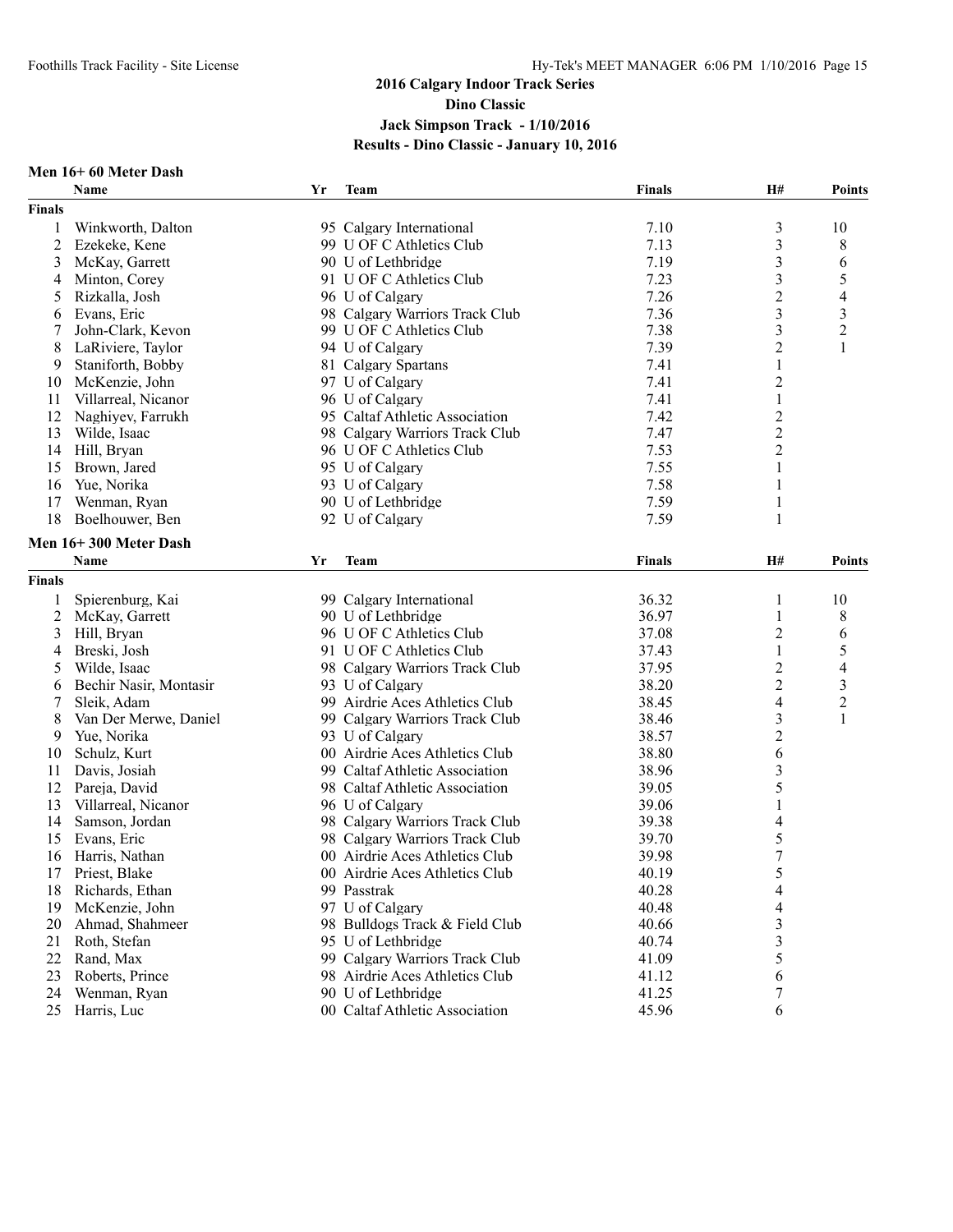#### **Men 16+ 60 Meter Dash**

|                | Name                          | Yr | Team                           | <b>Finals</b> | H#                      | <b>Points</b>            |
|----------------|-------------------------------|----|--------------------------------|---------------|-------------------------|--------------------------|
| <b>Finals</b>  |                               |    |                                |               |                         |                          |
| 1              | Winkworth, Dalton             |    | 95 Calgary International       | 7.10          | $\mathfrak{Z}$          | 10                       |
| $\overline{2}$ | Ezekeke, Kene                 |    | 99 U OF C Athletics Club       | 7.13          | 3                       | 8                        |
| 3              | McKay, Garrett                |    | 90 U of Lethbridge             | 7.19          | 3                       | 6                        |
| 4              | Minton, Corey                 |    | 91 U OF C Athletics Club       | 7.23          | 3                       | 5                        |
| 5              | Rizkalla, Josh                |    | 96 U of Calgary                | 7.26          | $\overline{2}$          | 4                        |
| 6              | Evans, Eric                   |    | 98 Calgary Warriors Track Club | 7.36          | $\overline{\mathbf{3}}$ | $\mathfrak{Z}$           |
| 7              | John-Clark, Kevon             |    | 99 U OF C Athletics Club       | 7.38          | 3                       | $\boldsymbol{2}$         |
| 8              | LaRiviere, Taylor             |    | 94 U of Calgary                | 7.39          | 2                       | 1                        |
| 9              | Staniforth, Bobby             |    | 81 Calgary Spartans            | 7.41          | 1                       |                          |
| 10             | McKenzie, John                |    | 97 U of Calgary                | 7.41          | $\overline{c}$          |                          |
| 11             | Villarreal, Nicanor           |    | 96 U of Calgary                | 7.41          | $\mathbf{1}$            |                          |
| 12             | Naghiyev, Farrukh             |    | 95 Caltaf Athletic Association | 7.42          | $\boldsymbol{2}$        |                          |
| 13             | Wilde, Isaac                  |    | 98 Calgary Warriors Track Club | 7.47          | $\overline{2}$          |                          |
| 14             | Hill, Bryan                   |    | 96 U OF C Athletics Club       | 7.53          | $\overline{2}$          |                          |
| 15             | Brown, Jared                  |    | 95 U of Calgary                | 7.55          | 1                       |                          |
| 16             | Yue, Norika                   |    | 93 U of Calgary                | 7.58          | 1                       |                          |
| 17             | Wenman, Ryan                  |    | 90 U of Lethbridge             | 7.59          | 1                       |                          |
| 18             | Boelhouwer, Ben               |    | 92 U of Calgary                | 7.59          | 1                       |                          |
|                |                               |    |                                |               |                         |                          |
|                | Men 16+300 Meter Dash<br>Name |    | <b>Team</b>                    | <b>Finals</b> | H#                      |                          |
|                |                               | Yr |                                |               |                         | <b>Points</b>            |
| <b>Finals</b>  |                               |    |                                |               |                         |                          |
| 1              | Spierenburg, Kai              |    | 99 Calgary International       | 36.32         | 1                       | 10                       |
| $\overline{2}$ | McKay, Garrett                |    | 90 U of Lethbridge             | 36.97         | 1                       | 8                        |
| 3              | Hill, Bryan                   |    | 96 U OF C Athletics Club       | 37.08         | $\overline{2}$          | 6                        |
| 4              | Breski, Josh                  |    | 91 U OF C Athletics Club       | 37.43         | 1                       | 5                        |
| 5              | Wilde, Isaac                  |    | 98 Calgary Warriors Track Club | 37.95         | 2                       | $\overline{\mathcal{A}}$ |
| 6              | Bechir Nasir, Montasir        |    | 93 U of Calgary                | 38.20         | $\overline{c}$          | 3                        |
| 7              | Sleik, Adam                   |    | 99 Airdrie Aces Athletics Club | 38.45         | 4                       | $\mathbf{2}$             |
| 8              | Van Der Merwe, Daniel         |    | 99 Calgary Warriors Track Club | 38.46         | 3                       | 1                        |
| 9              | Yue, Norika                   |    | 93 U of Calgary                | 38.57         | $\overline{2}$          |                          |
| 10             | Schulz, Kurt                  |    | 00 Airdrie Aces Athletics Club | 38.80         | 6                       |                          |
| 11             | Davis, Josiah                 |    | 99 Caltaf Athletic Association | 38.96         | 3                       |                          |
| 12             | Pareja, David                 |    | 98 Caltaf Athletic Association | 39.05         | 5                       |                          |
| 13             | Villarreal, Nicanor           |    | 96 U of Calgary                | 39.06         | 1                       |                          |
| 14             | Samson, Jordan                |    | 98 Calgary Warriors Track Club | 39.38         | 4                       |                          |
| 15             | Evans, Eric                   |    | 98 Calgary Warriors Track Club | 39.70         | 5                       |                          |
| 16             | Harris, Nathan                |    | 00 Airdrie Aces Athletics Club | 39.98         | $\boldsymbol{7}$        |                          |
| 17             | Priest, Blake                 |    | 00 Airdrie Aces Athletics Club | 40.19         | 5                       |                          |
| 18             | Richards, Ethan               |    | 99 Passtrak                    | 40.28         | 4                       |                          |
| 19             | McKenzie, John                |    | 97 U of Calgary                | 40.48         | 4                       |                          |
| 20             | Ahmad, Shahmeer               |    | 98 Bulldogs Track & Field Club | 40.66         | 3                       |                          |
| 21             | Roth, Stefan                  |    | 95 U of Lethbridge             | 40.74         | 3                       |                          |
| 22             | Rand, Max                     |    | 99 Calgary Warriors Track Club | 41.09         | 5                       |                          |
| 23             | Roberts, Prince               |    | 98 Airdrie Aces Athletics Club | 41.12         | 6                       |                          |
| 24             | Wenman, Ryan                  |    | 90 U of Lethbridge             | 41.25         | 7                       |                          |
| 25             | Harris, Luc                   |    | 00 Caltaf Athletic Association | 45.96         | 6                       |                          |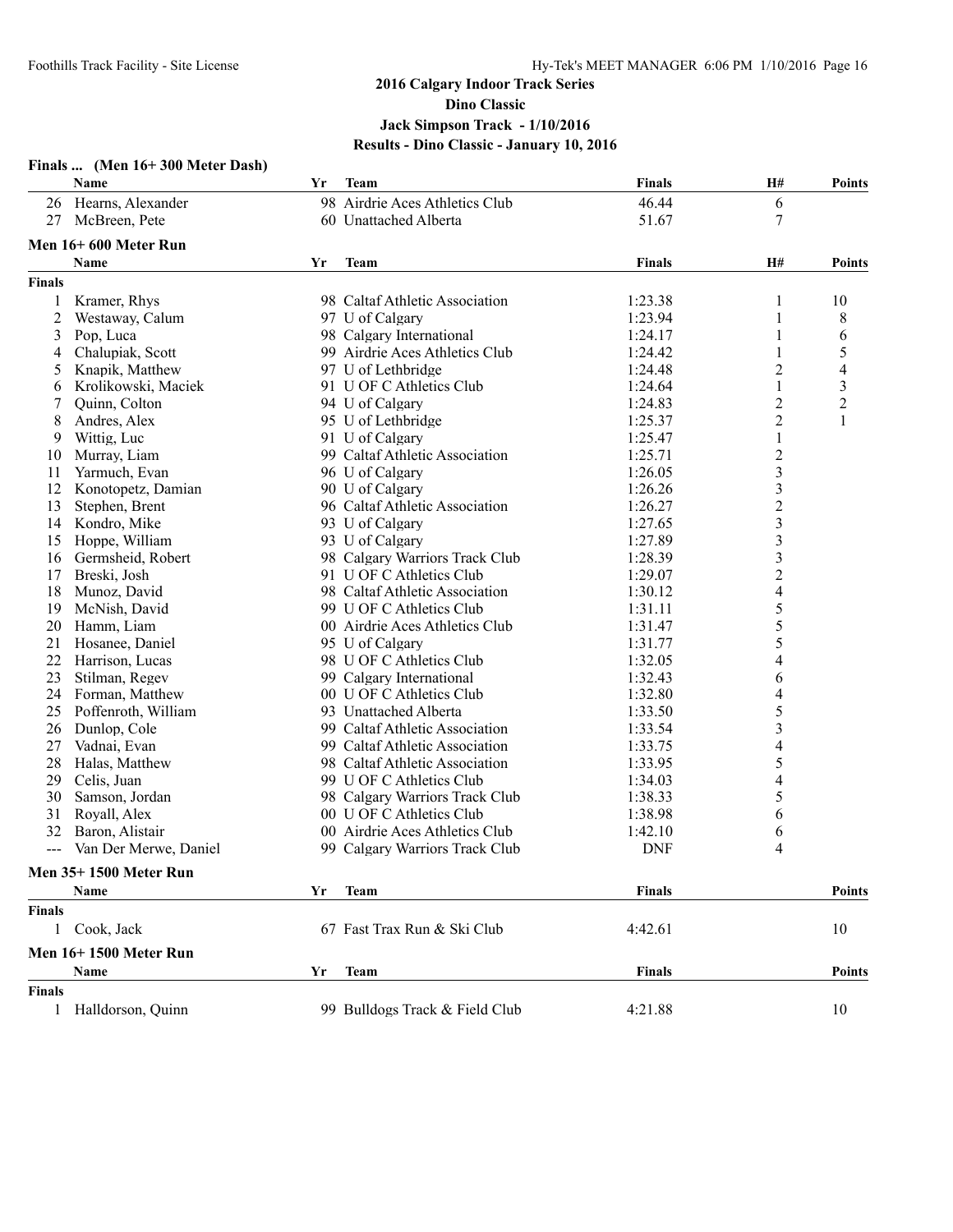|                | Finals  (Men 16+300 Meter Dash)<br><b>Name</b> | Yr | Team                           | <b>Finals</b> | Н#                      | <b>Points</b>    |
|----------------|------------------------------------------------|----|--------------------------------|---------------|-------------------------|------------------|
|                | 26 Hearns, Alexander                           |    | 98 Airdrie Aces Athletics Club | 46.44         | 6                       |                  |
| 27             | McBreen, Pete                                  |    | 60 Unattached Alberta          | 51.67         | 7                       |                  |
|                | Men 16+600 Meter Run                           |    |                                |               |                         |                  |
|                | <b>Name</b>                                    | Yr | Team                           | <b>Finals</b> | H#                      | <b>Points</b>    |
| <b>Finals</b>  |                                                |    |                                |               |                         |                  |
| 1              | Kramer, Rhys                                   |    | 98 Caltaf Athletic Association | 1:23.38       | 1                       | 10               |
| $\overline{c}$ | Westaway, Calum                                |    | 97 U of Calgary                | 1:23.94       | 1                       | 8                |
| 3              | Pop, Luca                                      |    | 98 Calgary International       | 1:24.17       |                         | 6                |
| 4              | Chalupiak, Scott                               |    | 99 Airdrie Aces Athletics Club | 1:24.42       | 1                       | 5                |
| 5              | Knapik, Matthew                                |    | 97 U of Lethbridge             | 1:24.48       | 2                       | 4                |
| 6              | Krolikowski, Maciek                            |    | 91 U OF C Athletics Club       | 1:24.64       | 1                       | 3                |
| 7              | Quinn, Colton                                  |    | 94 U of Calgary                | 1:24.83       | 2                       | $\boldsymbol{2}$ |
| 8              | Andres, Alex                                   |    | 95 U of Lethbridge             | 1:25.37       | $\overline{c}$          | $\mathbf{1}$     |
| 9              | Wittig, Luc                                    |    | 91 U of Calgary                | 1:25.47       | $\mathbf{1}$            |                  |
| 10             | Murray, Liam                                   |    | 99 Caltaf Athletic Association | 1:25.71       | $\overline{c}$          |                  |
| 11             | Yarmuch, Evan                                  |    | 96 U of Calgary                | 1:26.05       | 3                       |                  |
| 12             | Konotopetz, Damian                             |    | 90 U of Calgary                | 1:26.26       | 3                       |                  |
| 13             | Stephen, Brent                                 |    | 96 Caltaf Athletic Association | 1:26.27       | $\overline{2}$          |                  |
|                | 14 Kondro, Mike                                |    | 93 U of Calgary                | 1:27.65       | $\mathfrak{Z}$          |                  |
| 15             | Hoppe, William                                 |    | 93 U of Calgary                | 1:27.89       | $\overline{\mathbf{3}}$ |                  |
| 16             | Germsheid, Robert                              |    | 98 Calgary Warriors Track Club | 1:28.39       | 3                       |                  |
| 17             | Breski, Josh                                   |    | 91 U OF C Athletics Club       | 1:29.07       | $\overline{c}$          |                  |
| 18             | Munoz, David                                   |    | 98 Caltaf Athletic Association | 1:30.12       | 4                       |                  |
| 19             | McNish, David                                  |    | 99 U OF C Athletics Club       | 1:31.11       | 5                       |                  |
|                | 20 Hamm, Liam                                  |    | 00 Airdrie Aces Athletics Club | 1:31.47       | 5                       |                  |
| 21             | Hosanee, Daniel                                |    | 95 U of Calgary                | 1:31.77       | 5                       |                  |
| 22             | Harrison, Lucas                                |    | 98 U OF C Athletics Club       | 1:32.05       | 4                       |                  |
| 23             | Stilman, Regev                                 |    | 99 Calgary International       | 1:32.43       | 6                       |                  |
| 24             | Forman, Matthew                                |    | 00 U OF C Athletics Club       | 1:32.80       | 4                       |                  |
| 25             | Poffenroth, William                            |    | 93 Unattached Alberta          | 1:33.50       | 5                       |                  |
| 26             | Dunlop, Cole                                   |    | 99 Caltaf Athletic Association | 1:33.54       | $\overline{\mathbf{3}}$ |                  |
| 27             | Vadnai, Evan                                   |    | 99 Caltaf Athletic Association | 1:33.75       | 4                       |                  |
| 28             | Halas, Matthew                                 |    | 98 Caltaf Athletic Association | 1:33.95       | 5                       |                  |
| 29             | Celis, Juan                                    |    | 99 U OF C Athletics Club       | 1:34.03       | 4                       |                  |
| 30             | Samson, Jordan                                 |    | 98 Calgary Warriors Track Club | 1:38.33       | 5                       |                  |
| 31             | Royall, Alex                                   |    | 00 U OF C Athletics Club       | 1:38.98       | 6                       |                  |
| 32             | Baron, Alistair                                |    | 00 Airdrie Aces Athletics Club | 1:42.10       | 6                       |                  |
| $\overline{a}$ | Van Der Merwe, Daniel                          |    | 99 Calgary Warriors Track Club | <b>DNF</b>    | 4                       |                  |
|                | <b>Men 35+1500 Meter Run</b>                   |    |                                |               |                         |                  |
|                | Name                                           | Yr | <b>Team</b>                    | <b>Finals</b> |                         | Points           |
| <b>Finals</b>  |                                                |    |                                |               |                         |                  |
| 1              | Cook, Jack                                     |    | 67 Fast Trax Run & Ski Club    | 4:42.61       |                         | 10               |
|                |                                                |    |                                |               |                         |                  |
|                | <b>Men 16+1500 Meter Run</b><br>Name           | Yr | <b>Team</b>                    | <b>Finals</b> |                         | <b>Points</b>    |
| <b>Finals</b>  |                                                |    |                                |               |                         |                  |
| $\mathbf{1}$   | Halldorson, Quinn                              |    | 99 Bulldogs Track & Field Club | 4:21.88       |                         | 10               |
|                |                                                |    |                                |               |                         |                  |